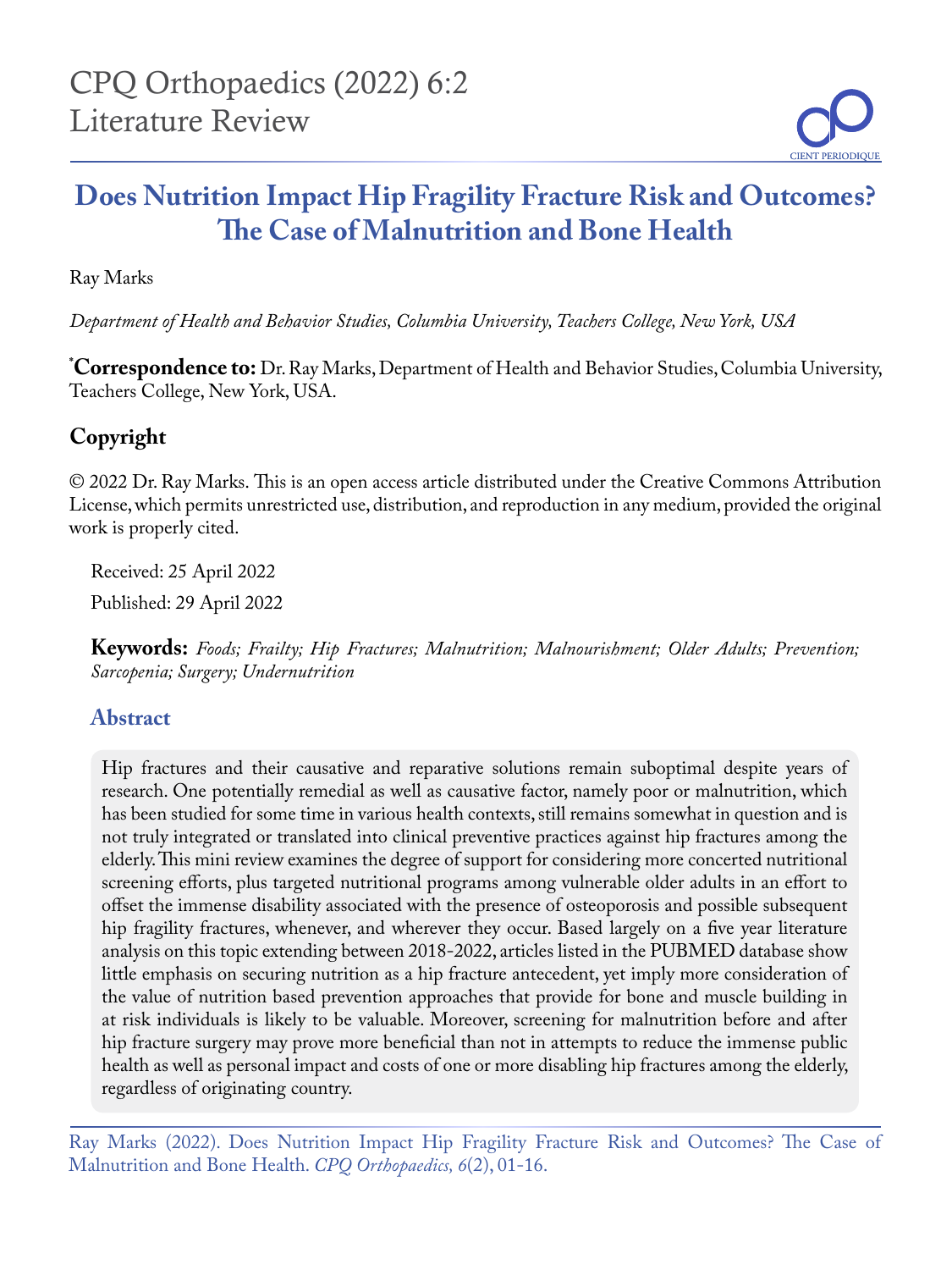# **Does Nutrition Impact Hip Fragility Fracture Risk and Outcomes? The Case of Malnutrition and Bone Health**

Ray Marks

*Department of Health and Behavior Studies, Columbia University, Teachers College, New York, USA* 

**\* Correspondence to:** Dr. Ray Marks, Department of Health and Behavior Studies, Columbia University, Teachers College, New York, USA.

## **Copyright**

© 2022 Dr. Ray Marks. This is an open access article distributed under the Creative Commons Attribution License, which permits unrestricted use, distribution, and reproduction in any medium, provided the original work is properly cited.

Received: 25 April 2022

Published: 29 April 2022

**Keywords:** *Foods; Frailty; Hip Fractures; Malnutrition; Malnourishment; Older Adults; Prevention; Sarcopenia; Surgery; Undernutrition*

## **Abstract**

Hip fractures and their causative and reparative solutions remain suboptimal despite years of research. One potentially remedial as well as causative factor, namely poor or malnutrition, which has been studied for some time in various health contexts, still remains somewhat in question and is not truly integrated or translated into clinical preventive practices against hip fractures among the elderly. This mini review examines the degree of support for considering more concerted nutritional screening efforts, plus targeted nutritional programs among vulnerable older adults in an effort to offset the immense disability associated with the presence of osteoporosis and possible subsequent hip fragility fractures, whenever, and wherever they occur. Based largely on a five year literature analysis on this topic extending between 2018-2022, articles listed in the PUBMED database show little emphasis on securing nutrition as a hip fracture antecedent, yet imply more consideration of the value of nutrition based prevention approaches that provide for bone and muscle building in at risk individuals is likely to be valuable. Moreover, screening for malnutrition before and after hip fracture surgery may prove more beneficial than not in attempts to reduce the immense public health as well as personal impact and costs of one or more disabling hip fractures among the elderly, regardless of originating country.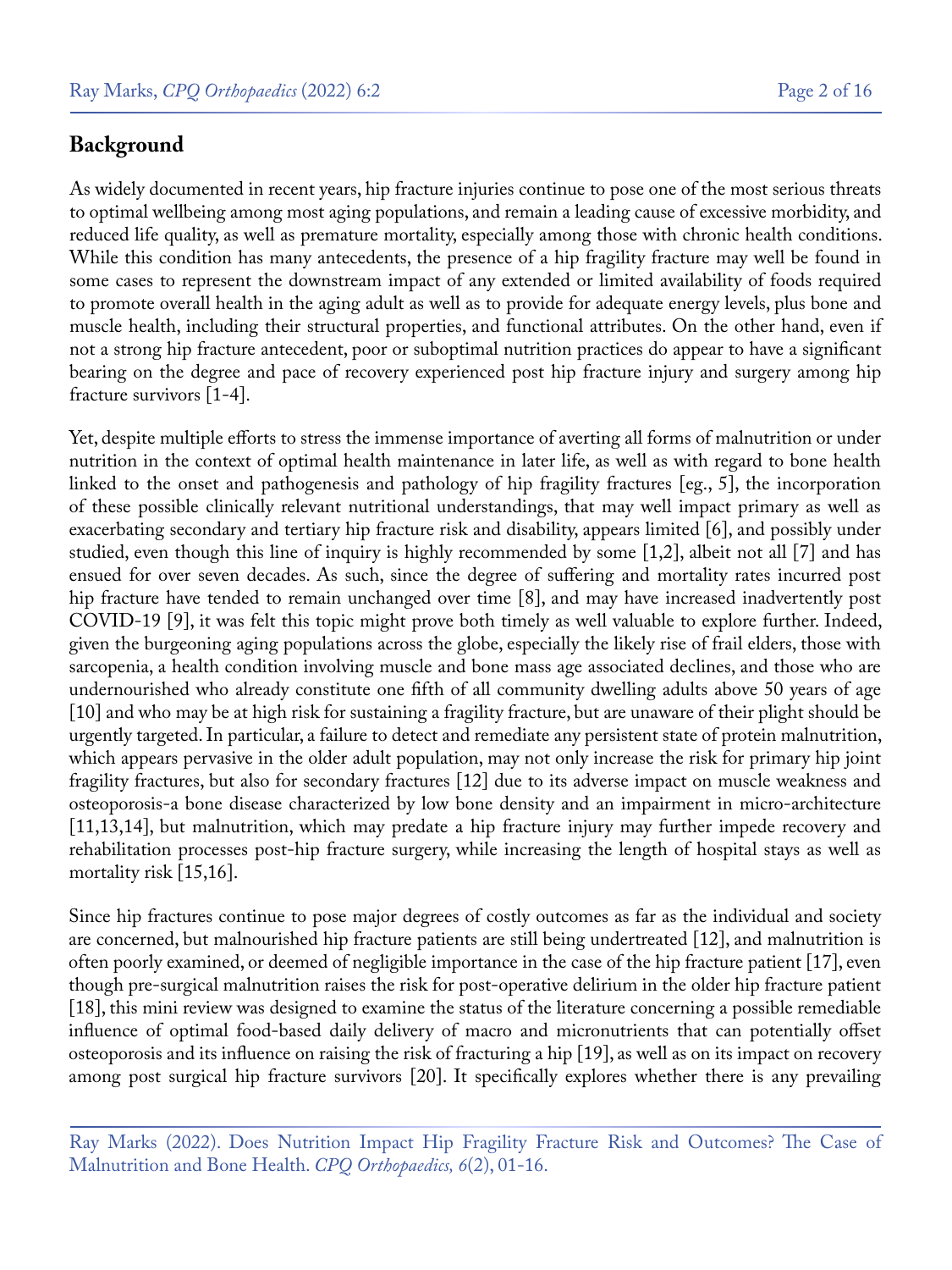#### **Background**

As widely documented in recent years, hip fracture injuries continue to pose one of the most serious threats to optimal wellbeing among most aging populations, and remain a leading cause of excessive morbidity, and reduced life quality, as well as premature mortality, especially among those with chronic health conditions. While this condition has many antecedents, the presence of a hip fragility fracture may well be found in some cases to represent the downstream impact of any extended or limited availability of foods required to promote overall health in the aging adult as well as to provide for adequate energy levels, plus bone and muscle health, including their structural properties, and functional attributes. On the other hand, even if not a strong hip fracture antecedent, poor or suboptimal nutrition practices do appear to have a significant bearing on the degree and pace of recovery experienced post hip fracture injury and surgery among hip fracture survivors [1-4].

Yet, despite multiple efforts to stress the immense importance of averting all forms of malnutrition or under nutrition in the context of optimal health maintenance in later life, as well as with regard to bone health linked to the onset and pathogenesis and pathology of hip fragility fractures [eg., 5], the incorporation of these possible clinically relevant nutritional understandings, that may well impact primary as well as exacerbating secondary and tertiary hip fracture risk and disability, appears limited [6], and possibly under studied, even though this line of inquiry is highly recommended by some [1,2], albeit not all [7] and has ensued for over seven decades. As such, since the degree of suffering and mortality rates incurred post hip fracture have tended to remain unchanged over time [8], and may have increased inadvertently post COVID-19 [9], it was felt this topic might prove both timely as well valuable to explore further. Indeed, given the burgeoning aging populations across the globe, especially the likely rise of frail elders, those with sarcopenia, a health condition involving muscle and bone mass age associated declines, and those who are undernourished who already constitute one fifth of all community dwelling adults above 50 years of age [10] and who may be at high risk for sustaining a fragility fracture, but are unaware of their plight should be urgently targeted. In particular, a failure to detect and remediate any persistent state of protein malnutrition, which appears pervasive in the older adult population, may not only increase the risk for primary hip joint fragility fractures, but also for secondary fractures [12] due to its adverse impact on muscle weakness and osteoporosis-a bone disease characterized by low bone density and an impairment in micro-architecture [11,13,14], but malnutrition, which may predate a hip fracture injury may further impede recovery and rehabilitation processes post-hip fracture surgery, while increasing the length of hospital stays as well as mortality risk [15,16].

Since hip fractures continue to pose major degrees of costly outcomes as far as the individual and society are concerned, but malnourished hip fracture patients are still being undertreated [12], and malnutrition is often poorly examined, or deemed of negligible importance in the case of the hip fracture patient [17], even though pre-surgical malnutrition raises the risk for post-operative delirium in the older hip fracture patient [18], this mini review was designed to examine the status of the literature concerning a possible remediable influence of optimal food-based daily delivery of macro and micronutrients that can potentially offset osteoporosis and its influence on raising the risk of fracturing a hip [19], as well as on its impact on recovery among post surgical hip fracture survivors [20]. It specifically explores whether there is any prevailing

Ray Marks (2022). Does Nutrition Impact Hip Fragility Fracture Risk and Outcomes? The Case of Malnutrition and Bone Health. *CPQ Orthopaedics, 6*(2), 01-16.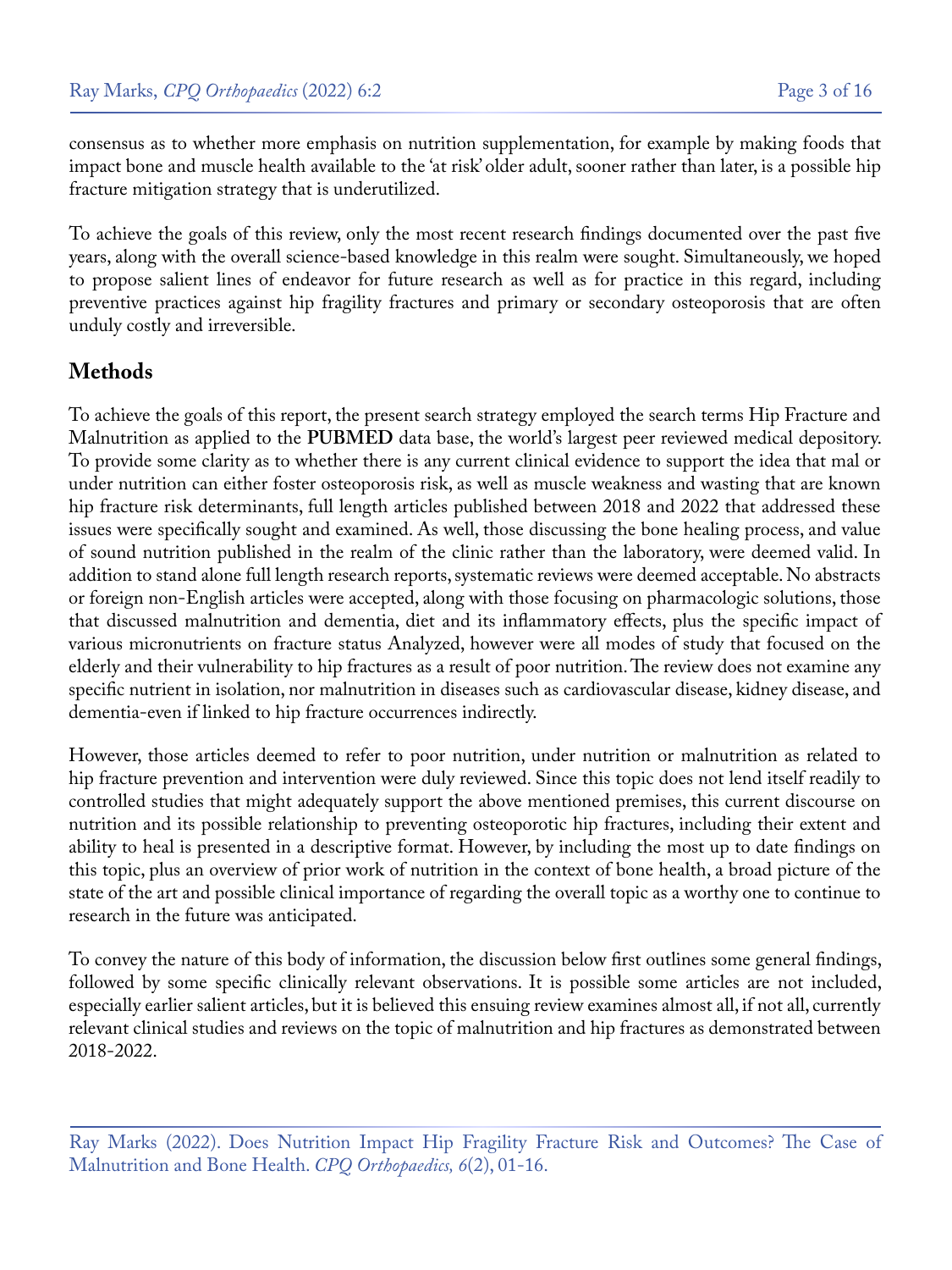consensus as to whether more emphasis on nutrition supplementation, for example by making foods that impact bone and muscle health available to the 'at risk' older adult, sooner rather than later, is a possible hip fracture mitigation strategy that is underutilized.

To achieve the goals of this review, only the most recent research findings documented over the past five years, along with the overall science-based knowledge in this realm were sought. Simultaneously, we hoped to propose salient lines of endeavor for future research as well as for practice in this regard, including preventive practices against hip fragility fractures and primary or secondary osteoporosis that are often unduly costly and irreversible.

## **Methods**

To achieve the goals of this report, the present search strategy employed the search terms Hip Fracture and Malnutrition as applied to the **PUBMED** data base, the world's largest peer reviewed medical depository. To provide some clarity as to whether there is any current clinical evidence to support the idea that mal or under nutrition can either foster osteoporosis risk, as well as muscle weakness and wasting that are known hip fracture risk determinants, full length articles published between 2018 and 2022 that addressed these issues were specifically sought and examined. As well, those discussing the bone healing process, and value of sound nutrition published in the realm of the clinic rather than the laboratory, were deemed valid. In addition to stand alone full length research reports, systematic reviews were deemed acceptable. No abstracts or foreign non-English articles were accepted, along with those focusing on pharmacologic solutions, those that discussed malnutrition and dementia, diet and its inflammatory effects, plus the specific impact of various micronutrients on fracture status Analyzed, however were all modes of study that focused on the elderly and their vulnerability to hip fractures as a result of poor nutrition. The review does not examine any specific nutrient in isolation, nor malnutrition in diseases such as cardiovascular disease, kidney disease, and dementia-even if linked to hip fracture occurrences indirectly.

However, those articles deemed to refer to poor nutrition, under nutrition or malnutrition as related to hip fracture prevention and intervention were duly reviewed. Since this topic does not lend itself readily to controlled studies that might adequately support the above mentioned premises, this current discourse on nutrition and its possible relationship to preventing osteoporotic hip fractures, including their extent and ability to heal is presented in a descriptive format. However, by including the most up to date findings on this topic, plus an overview of prior work of nutrition in the context of bone health, a broad picture of the state of the art and possible clinical importance of regarding the overall topic as a worthy one to continue to research in the future was anticipated.

To convey the nature of this body of information, the discussion below first outlines some general findings, followed by some specific clinically relevant observations. It is possible some articles are not included, especially earlier salient articles, but it is believed this ensuing review examines almost all, if not all, currently relevant clinical studies and reviews on the topic of malnutrition and hip fractures as demonstrated between 2018-2022.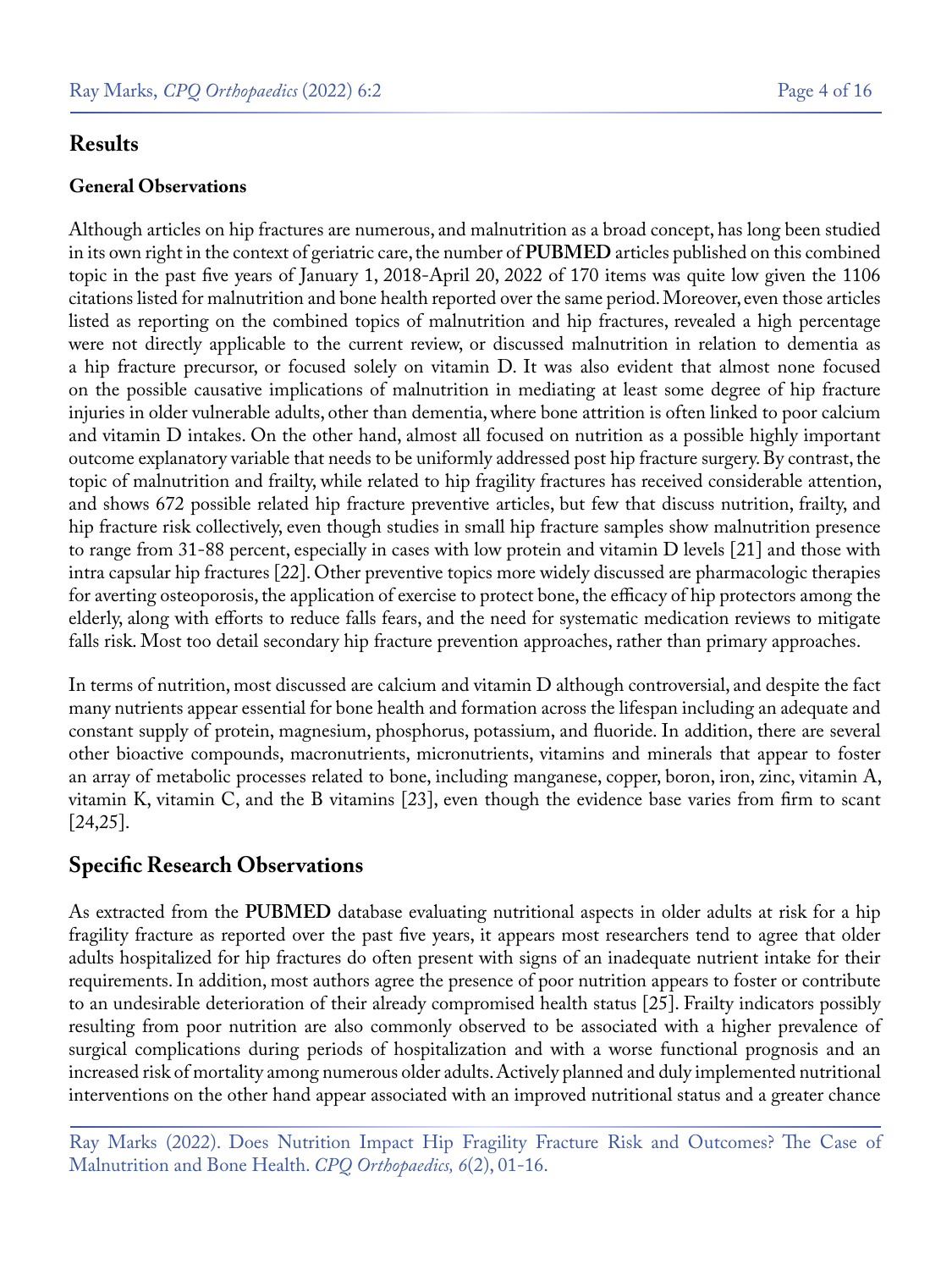#### **Results**

#### **General Observations**

Although articles on hip fractures are numerous, and malnutrition as a broad concept, has long been studied in its own right in the context of geriatric care, the number of **PUBMED** articles published on this combined topic in the past five years of January 1, 2018-April 20, 2022 of 170 items was quite low given the 1106 citations listed for malnutrition and bone health reported over the same period. Moreover, even those articles listed as reporting on the combined topics of malnutrition and hip fractures, revealed a high percentage were not directly applicable to the current review, or discussed malnutrition in relation to dementia as a hip fracture precursor, or focused solely on vitamin D. It was also evident that almost none focused on the possible causative implications of malnutrition in mediating at least some degree of hip fracture injuries in older vulnerable adults, other than dementia, where bone attrition is often linked to poor calcium and vitamin D intakes. On the other hand, almost all focused on nutrition as a possible highly important outcome explanatory variable that needs to be uniformly addressed post hip fracture surgery. By contrast, the topic of malnutrition and frailty, while related to hip fragility fractures has received considerable attention, and shows 672 possible related hip fracture preventive articles, but few that discuss nutrition, frailty, and hip fracture risk collectively, even though studies in small hip fracture samples show malnutrition presence to range from 31-88 percent, especially in cases with low protein and vitamin D levels [21] and those with intra capsular hip fractures [22]. Other preventive topics more widely discussed are pharmacologic therapies for averting osteoporosis, the application of exercise to protect bone, the efficacy of hip protectors among the elderly, along with efforts to reduce falls fears, and the need for systematic medication reviews to mitigate falls risk. Most too detail secondary hip fracture prevention approaches, rather than primary approaches.

In terms of nutrition, most discussed are calcium and vitamin D although controversial, and despite the fact many nutrients appear essential for bone health and formation across the lifespan including an adequate and constant supply of protein, magnesium, phosphorus, potassium, and fluoride. In addition, there are several other bioactive compounds, macronutrients, micronutrients, vitamins and minerals that appear to foster an array of metabolic processes related to bone, including manganese, copper, boron, iron, zinc, vitamin A, vitamin K, vitamin C, and the B vitamins [23], even though the evidence base varies from firm to scant [24,25].

## **Specific Research Observations**

As extracted from the **PUBMED** database evaluating nutritional aspects in older adults at risk for a hip fragility fracture as reported over the past five years, it appears most researchers tend to agree that older adults hospitalized for hip fractures do often present with signs of an inadequate nutrient intake for their requirements. In addition, most authors agree the presence of poor nutrition appears to foster or contribute to an undesirable deterioration of their already compromised health status [25]. Frailty indicators possibly resulting from poor nutrition are also commonly observed to be associated with a higher prevalence of surgical complications during periods of hospitalization and with a worse functional prognosis and an increased risk of mortality among numerous older adults. Actively planned and duly implemented nutritional interventions on the other hand appear associated with an improved nutritional status and a greater chance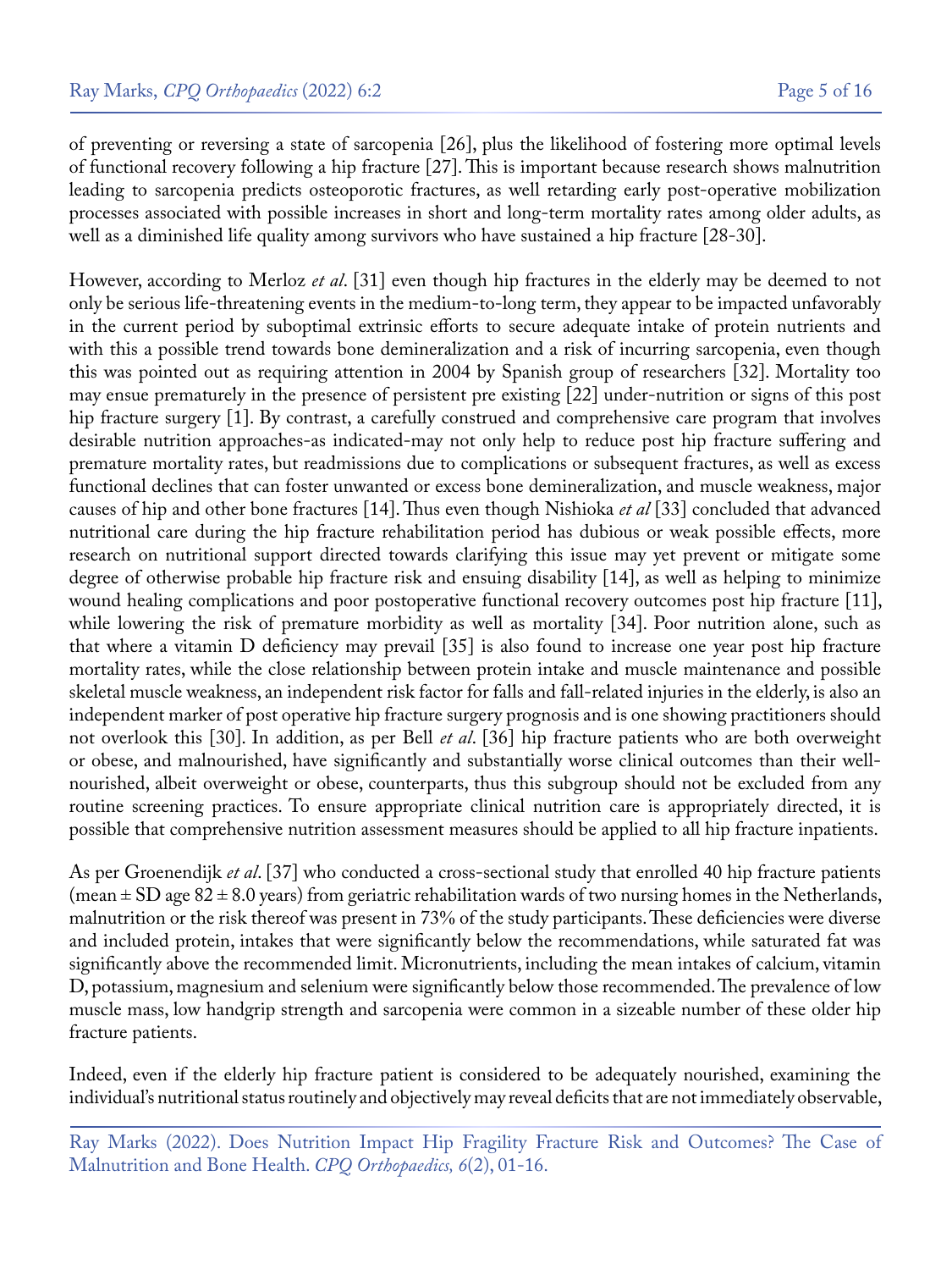of preventing or reversing a state of sarcopenia [26], plus the likelihood of fostering more optimal levels of functional recovery following a hip fracture [27]. This is important because research shows malnutrition leading to sarcopenia predicts osteoporotic fractures, as well retarding early post-operative mobilization processes associated with possible increases in short and long-term mortality rates among older adults, as well as a diminished life quality among survivors who have sustained a hip fracture [28-30].

However, according to Merloz *et al*. [31] even though hip fractures in the elderly may be deemed to not only be serious life-threatening events in the medium-to-long term, they appear to be impacted unfavorably in the current period by suboptimal extrinsic efforts to secure adequate intake of protein nutrients and with this a possible trend towards bone demineralization and a risk of incurring sarcopenia, even though this was pointed out as requiring attention in 2004 by Spanish group of researchers [32]. Mortality too may ensue prematurely in the presence of persistent pre existing [22] under-nutrition or signs of this post hip fracture surgery [1]. By contrast, a carefully construed and comprehensive care program that involves desirable nutrition approaches-as indicated-may not only help to reduce post hip fracture suffering and premature mortality rates, but readmissions due to complications or subsequent fractures, as well as excess functional declines that can foster unwanted or excess bone demineralization, and muscle weakness, major causes of hip and other bone fractures [14]. Thus even though Nishioka *et al* [33] concluded that advanced nutritional care during the hip fracture rehabilitation period has dubious or weak possible effects, more research on nutritional support directed towards clarifying this issue may yet prevent or mitigate some degree of otherwise probable hip fracture risk and ensuing disability [14], as well as helping to minimize wound healing complications and poor postoperative functional recovery outcomes post hip fracture [11], while lowering the risk of premature morbidity as well as mortality [34]. Poor nutrition alone, such as that where a vitamin D deficiency may prevail [35] is also found to increase one year post hip fracture mortality rates, while the close relationship between protein intake and muscle maintenance and possible skeletal muscle weakness, an independent risk factor for falls and fall-related injuries in the elderly, is also an independent marker of post operative hip fracture surgery prognosis and is one showing practitioners should not overlook this [30]. In addition, as per Bell *et al*. [36] hip fracture patients who are both overweight or obese, and malnourished, have significantly and substantially worse clinical outcomes than their wellnourished, albeit overweight or obese, counterparts, thus this subgroup should not be excluded from any routine screening practices. To ensure appropriate clinical nutrition care is appropriately directed, it is possible that comprehensive nutrition assessment measures should be applied to all hip fracture inpatients.

As per Groenendijk *et al*. [37] who conducted a cross-sectional study that enrolled 40 hip fracture patients (mean  $\pm$  SD age 82  $\pm$  8.0 years) from geriatric rehabilitation wards of two nursing homes in the Netherlands, malnutrition or the risk thereof was present in 73% of the study participants. These deficiencies were diverse and included protein, intakes that were significantly below the recommendations, while saturated fat was significantly above the recommended limit. Micronutrients, including the mean intakes of calcium, vitamin D, potassium, magnesium and selenium were significantly below those recommended. The prevalence of low muscle mass, low handgrip strength and sarcopenia were common in a sizeable number of these older hip fracture patients.

Indeed, even if the elderly hip fracture patient is considered to be adequately nourished, examining the individual's nutritional status routinely and objectively may reveal deficits that are not immediately observable,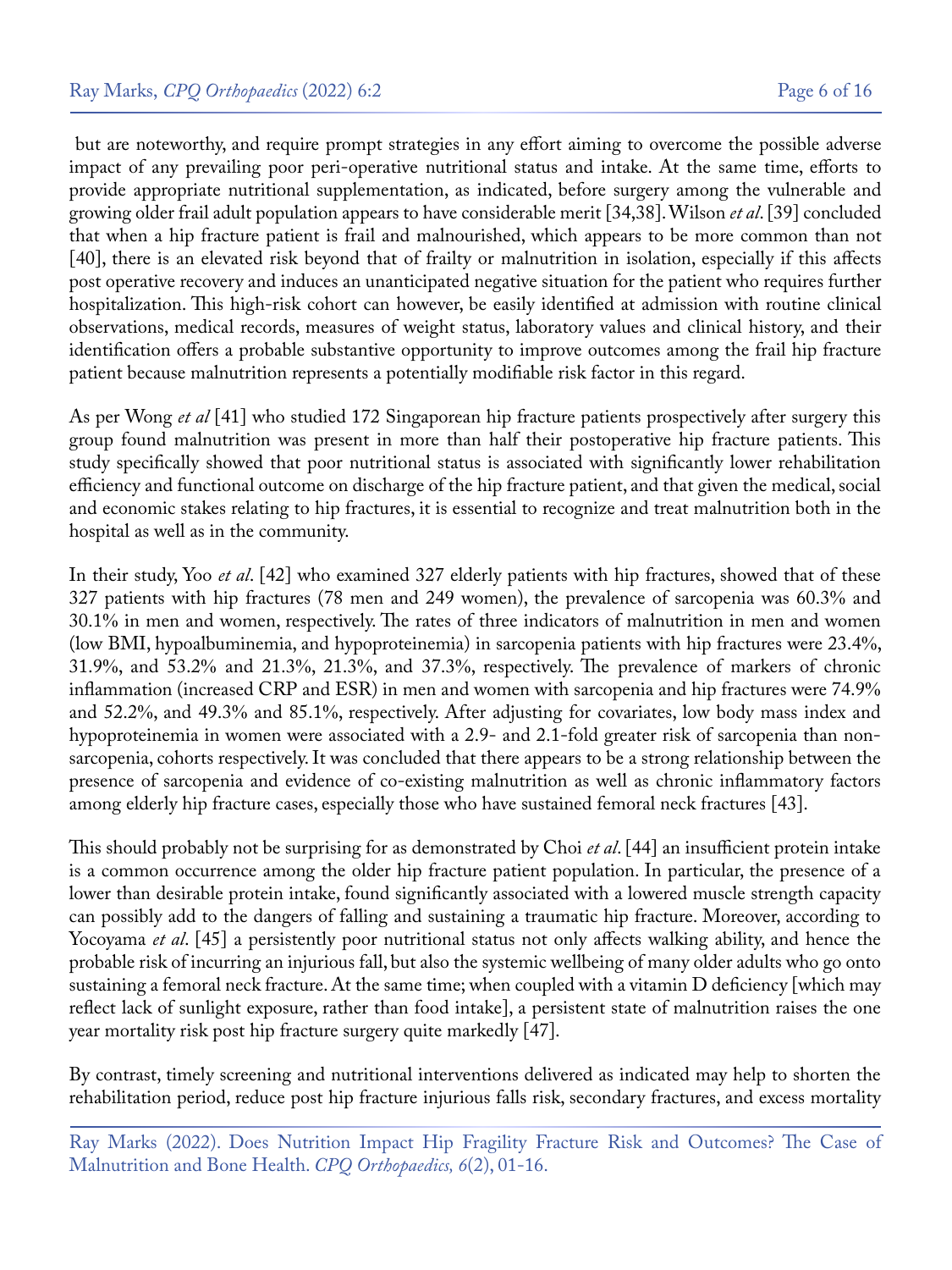but are noteworthy, and require prompt strategies in any effort aiming to overcome the possible adverse impact of any prevailing poor peri-operative nutritional status and intake. At the same time, efforts to provide appropriate nutritional supplementation, as indicated, before surgery among the vulnerable and growing older frail adult population appears to have considerable merit [34,38]. Wilson *et al*. [39] concluded that when a hip fracture patient is frail and malnourished, which appears to be more common than not [40], there is an elevated risk beyond that of frailty or malnutrition in isolation, especially if this affects post operative recovery and induces an unanticipated negative situation for the patient who requires further hospitalization. This high-risk cohort can however, be easily identified at admission with routine clinical observations, medical records, measures of weight status, laboratory values and clinical history, and their identification offers a probable substantive opportunity to improve outcomes among the frail hip fracture patient because malnutrition represents a potentially modifiable risk factor in this regard.

As per Wong *et al* [41] who studied 172 Singaporean hip fracture patients prospectively after surgery this group found malnutrition was present in more than half their postoperative hip fracture patients. This study specifically showed that poor nutritional status is associated with significantly lower rehabilitation efficiency and functional outcome on discharge of the hip fracture patient, and that given the medical, social and economic stakes relating to hip fractures, it is essential to recognize and treat malnutrition both in the hospital as well as in the community.

In their study, Yoo *et al*. [42] who examined 327 elderly patients with hip fractures, showed that of these 327 patients with hip fractures (78 men and 249 women), the prevalence of sarcopenia was 60.3% and 30.1% in men and women, respectively. The rates of three indicators of malnutrition in men and women (low BMI, hypoalbuminemia, and hypoproteinemia) in sarcopenia patients with hip fractures were 23.4%, 31.9%, and 53.2% and 21.3%, 21.3%, and 37.3%, respectively. The prevalence of markers of chronic inflammation (increased CRP and ESR) in men and women with sarcopenia and hip fractures were 74.9% and 52.2%, and 49.3% and 85.1%, respectively. After adjusting for covariates, low body mass index and hypoproteinemia in women were associated with a 2.9- and 2.1-fold greater risk of sarcopenia than nonsarcopenia, cohorts respectively. It was concluded that there appears to be a strong relationship between the presence of sarcopenia and evidence of co-existing malnutrition as well as chronic inflammatory factors among elderly hip fracture cases, especially those who have sustained femoral neck fractures [43].

This should probably not be surprising for as demonstrated by Choi *et al*. [44] an insufficient protein intake is a common occurrence among the older hip fracture patient population. In particular, the presence of a lower than desirable protein intake, found significantly associated with a lowered muscle strength capacity can possibly add to the dangers of falling and sustaining a traumatic hip fracture. Moreover, according to Yocoyama *et al*. [45] a persistently poor nutritional status not only affects walking ability, and hence the probable risk of incurring an injurious fall, but also the systemic wellbeing of many older adults who go onto sustaining a femoral neck fracture. At the same time; when coupled with a vitamin D deficiency [which may reflect lack of sunlight exposure, rather than food intake], a persistent state of malnutrition raises the one year mortality risk post hip fracture surgery quite markedly [47].

By contrast, timely screening and nutritional interventions delivered as indicated may help to shorten the rehabilitation period, reduce post hip fracture injurious falls risk, secondary fractures, and excess mortality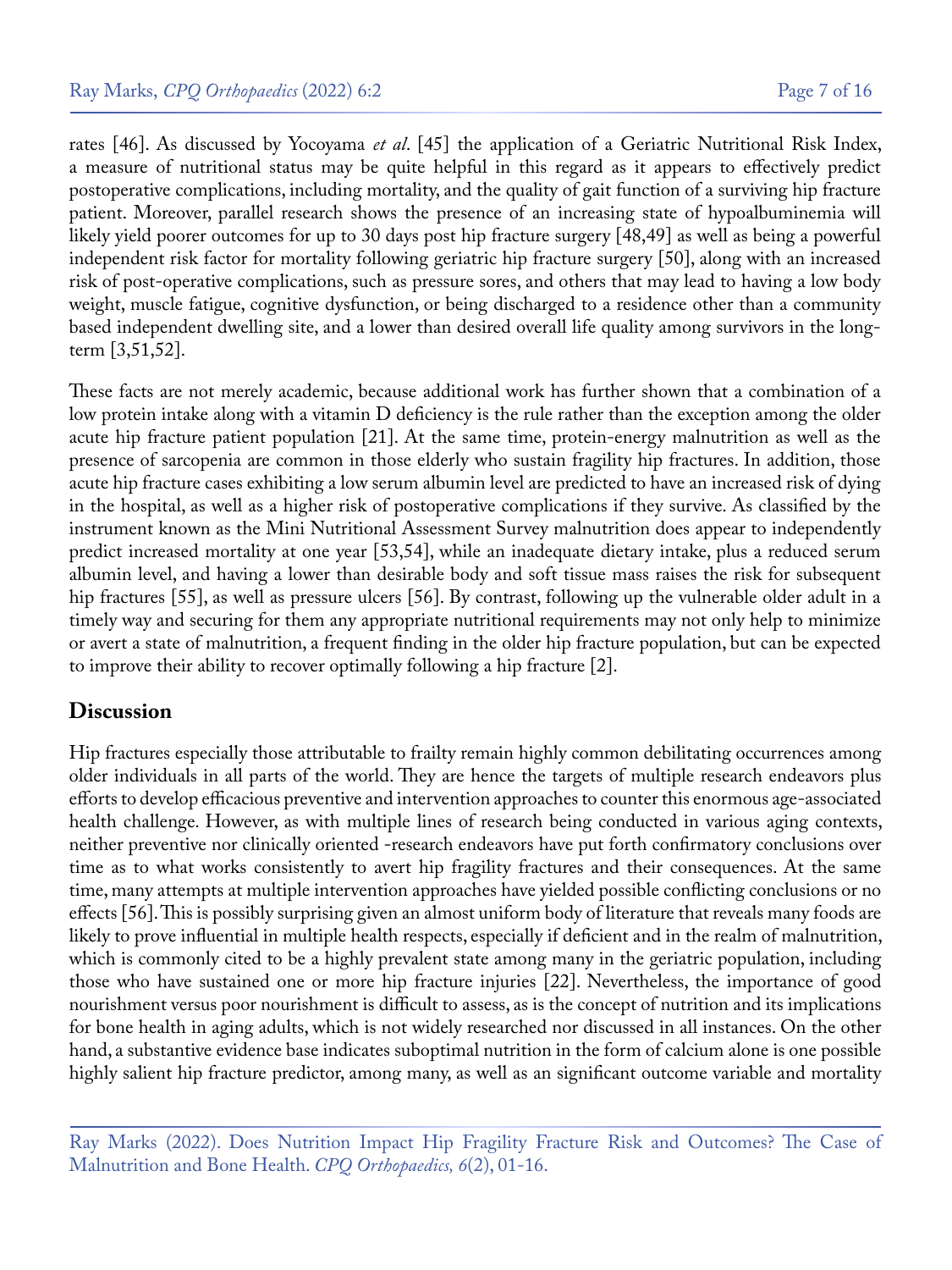rates [46]. As discussed by Yocoyama *et al*. [45] the application of a Geriatric Nutritional Risk Index, a measure of nutritional status may be quite helpful in this regard as it appears to effectively predict postoperative complications, including mortality, and the quality of gait function of a surviving hip fracture patient. Moreover, parallel research shows the presence of an increasing state of hypoalbuminemia will likely yield poorer outcomes for up to 30 days post hip fracture surgery [48,49] as well as being a powerful independent risk factor for mortality following geriatric hip fracture surgery [50], along with an increased risk of post-operative complications, such as pressure sores, and others that may lead to having a low body weight, muscle fatigue, cognitive dysfunction, or being discharged to a residence other than a community based independent dwelling site, and a lower than desired overall life quality among survivors in the longterm [3,51,52].

These facts are not merely academic, because additional work has further shown that a combination of a low protein intake along with a vitamin D deficiency is the rule rather than the exception among the older acute hip fracture patient population [21]. At the same time, protein-energy malnutrition as well as the presence of sarcopenia are common in those elderly who sustain fragility hip fractures. In addition, those acute hip fracture cases exhibiting a low serum albumin level are predicted to have an increased risk of dying in the hospital, as well as a higher risk of postoperative complications if they survive. As classified by the instrument known as the Mini Nutritional Assessment Survey malnutrition does appear to independently predict increased mortality at one year [53,54], while an inadequate dietary intake, plus a reduced serum albumin level, and having a lower than desirable body and soft tissue mass raises the risk for subsequent hip fractures [55], as well as pressure ulcers [56]. By contrast, following up the vulnerable older adult in a timely way and securing for them any appropriate nutritional requirements may not only help to minimize or avert a state of malnutrition, a frequent finding in the older hip fracture population, but can be expected to improve their ability to recover optimally following a hip fracture [2].

#### **Discussion**

Hip fractures especially those attributable to frailty remain highly common debilitating occurrences among older individuals in all parts of the world. They are hence the targets of multiple research endeavors plus efforts to develop efficacious preventive and intervention approaches to counter this enormous age-associated health challenge. However, as with multiple lines of research being conducted in various aging contexts, neither preventive nor clinically oriented -research endeavors have put forth confirmatory conclusions over time as to what works consistently to avert hip fragility fractures and their consequences. At the same time, many attempts at multiple intervention approaches have yielded possible conflicting conclusions or no effects [56]. This is possibly surprising given an almost uniform body of literature that reveals many foods are likely to prove influential in multiple health respects, especially if deficient and in the realm of malnutrition, which is commonly cited to be a highly prevalent state among many in the geriatric population, including those who have sustained one or more hip fracture injuries [22]. Nevertheless, the importance of good nourishment versus poor nourishment is difficult to assess, as is the concept of nutrition and its implications for bone health in aging adults, which is not widely researched nor discussed in all instances. On the other hand, a substantive evidence base indicates suboptimal nutrition in the form of calcium alone is one possible highly salient hip fracture predictor, among many, as well as an significant outcome variable and mortality

Ray Marks (2022). Does Nutrition Impact Hip Fragility Fracture Risk and Outcomes? The Case of Malnutrition and Bone Health. *CPQ Orthopaedics, 6*(2), 01-16.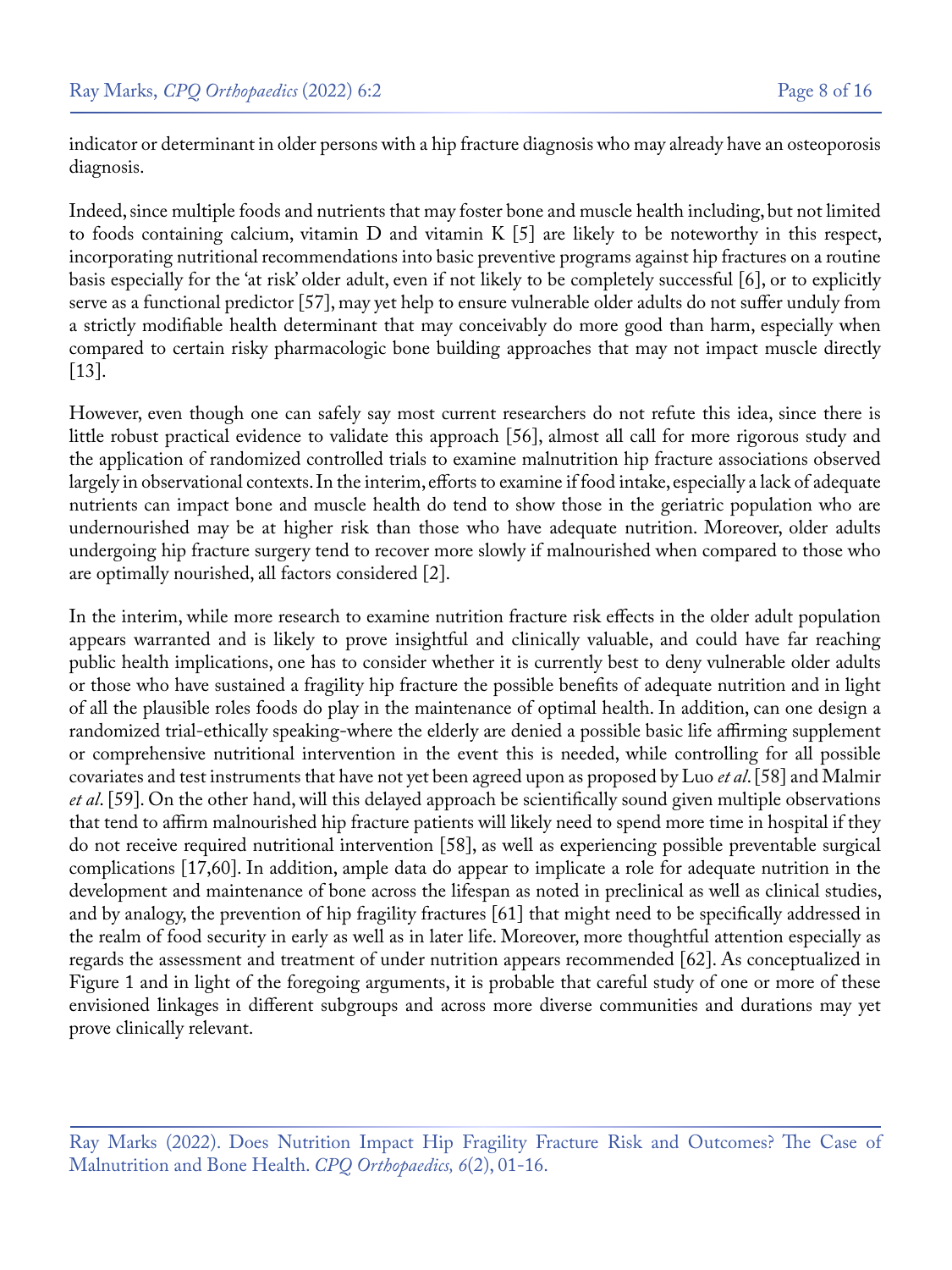indicator or determinant in older persons with a hip fracture diagnosis who may already have an osteoporosis diagnosis.

Indeed, since multiple foods and nutrients that may foster bone and muscle health including, but not limited to foods containing calcium, vitamin D and vitamin K [5] are likely to be noteworthy in this respect, incorporating nutritional recommendations into basic preventive programs against hip fractures on a routine basis especially for the 'at risk' older adult, even if not likely to be completely successful [6], or to explicitly serve as a functional predictor [57], may yet help to ensure vulnerable older adults do not suffer unduly from a strictly modifiable health determinant that may conceivably do more good than harm, especially when compared to certain risky pharmacologic bone building approaches that may not impact muscle directly [13].

However, even though one can safely say most current researchers do not refute this idea, since there is little robust practical evidence to validate this approach [56], almost all call for more rigorous study and the application of randomized controlled trials to examine malnutrition hip fracture associations observed largely in observational contexts. In the interim, efforts to examine if food intake, especially a lack of adequate nutrients can impact bone and muscle health do tend to show those in the geriatric population who are undernourished may be at higher risk than those who have adequate nutrition. Moreover, older adults undergoing hip fracture surgery tend to recover more slowly if malnourished when compared to those who are optimally nourished, all factors considered [2].

In the interim, while more research to examine nutrition fracture risk effects in the older adult population appears warranted and is likely to prove insightful and clinically valuable, and could have far reaching public health implications, one has to consider whether it is currently best to deny vulnerable older adults or those who have sustained a fragility hip fracture the possible benefits of adequate nutrition and in light of all the plausible roles foods do play in the maintenance of optimal health. In addition, can one design a randomized trial-ethically speaking-where the elderly are denied a possible basic life affirming supplement or comprehensive nutritional intervention in the event this is needed, while controlling for all possible covariates and test instruments that have not yet been agreed upon as proposed by Luo *et al*. [58] and Malmir *et al*. [59]. On the other hand, will this delayed approach be scientifically sound given multiple observations that tend to affirm malnourished hip fracture patients will likely need to spend more time in hospital if they do not receive required nutritional intervention [58], as well as experiencing possible preventable surgical complications [17,60]. In addition, ample data do appear to implicate a role for adequate nutrition in the development and maintenance of bone across the lifespan as noted in preclinical as well as clinical studies, and by analogy, the prevention of hip fragility fractures [61] that might need to be specifically addressed in the realm of food security in early as well as in later life. Moreover, more thoughtful attention especially as regards the assessment and treatment of under nutrition appears recommended [62]. As conceptualized in Figure 1 and in light of the foregoing arguments, it is probable that careful study of one or more of these envisioned linkages in different subgroups and across more diverse communities and durations may yet prove clinically relevant.

Ray Marks (2022). Does Nutrition Impact Hip Fragility Fracture Risk and Outcomes? The Case of Malnutrition and Bone Health. *CPQ Orthopaedics, 6*(2), 01-16.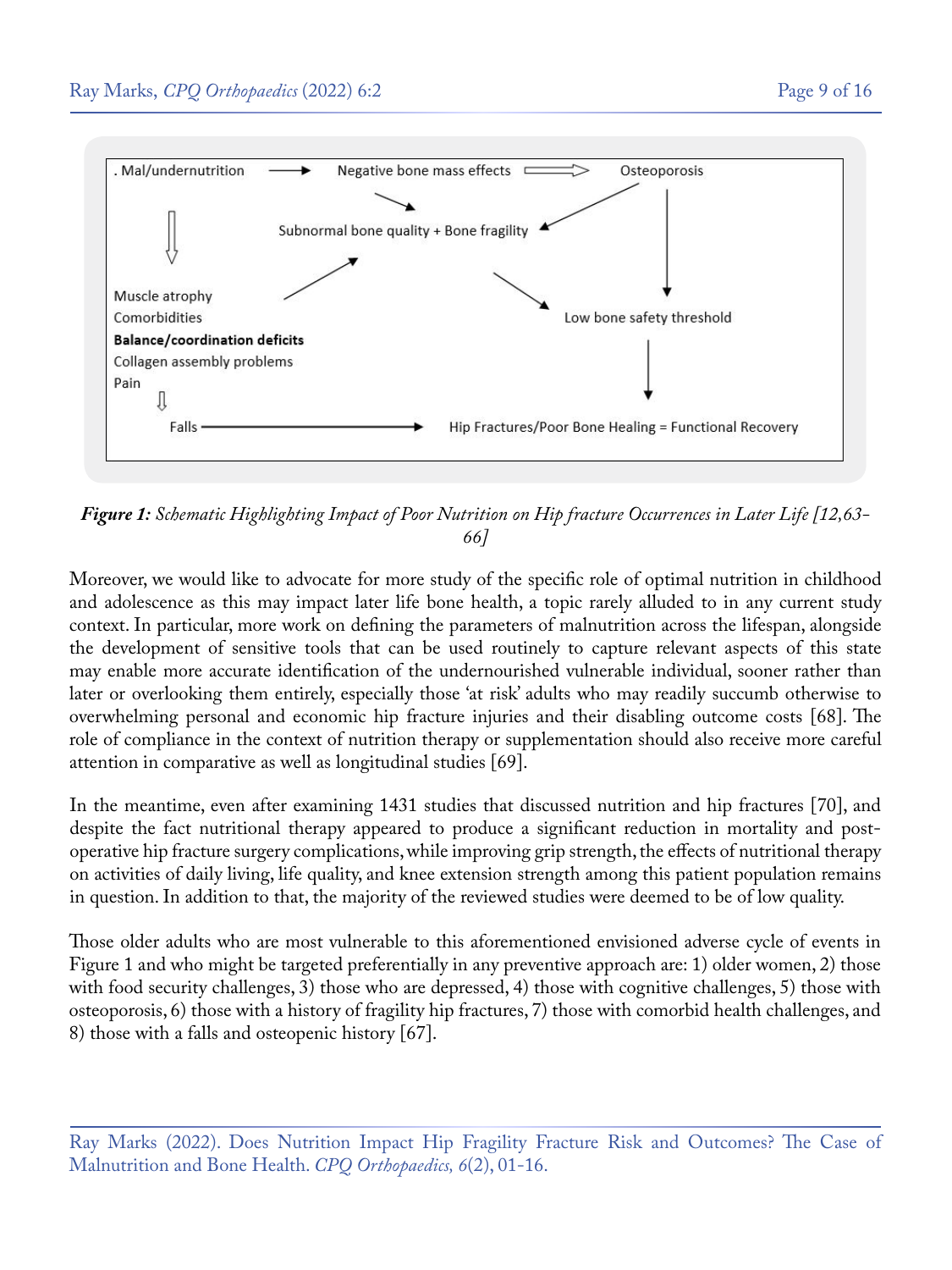

*Figure 1: Schematic Highlighting Impact of Poor Nutrition on Hip fracture Occurrences in Later Life [12,63- 66]*

Moreover, we would like to advocate for more study of the specific role of optimal nutrition in childhood and adolescence as this may impact later life bone health, a topic rarely alluded to in any current study context. In particular, more work on defining the parameters of malnutrition across the lifespan, alongside the development of sensitive tools that can be used routinely to capture relevant aspects of this state may enable more accurate identification of the undernourished vulnerable individual, sooner rather than later or overlooking them entirely, especially those 'at risk' adults who may readily succumb otherwise to overwhelming personal and economic hip fracture injuries and their disabling outcome costs [68]. The role of compliance in the context of nutrition therapy or supplementation should also receive more careful attention in comparative as well as longitudinal studies [69].

In the meantime, even after examining 1431 studies that discussed nutrition and hip fractures [70], and despite the fact nutritional therapy appeared to produce a significant reduction in mortality and postoperative hip fracture surgery complications, while improving grip strength, the effects of nutritional therapy on activities of daily living, life quality, and knee extension strength among this patient population remains in question. In addition to that, the majority of the reviewed studies were deemed to be of low quality.

Those older adults who are most vulnerable to this aforementioned envisioned adverse cycle of events in Figure 1 and who might be targeted preferentially in any preventive approach are: 1) older women, 2) those with food security challenges, 3) those who are depressed, 4) those with cognitive challenges, 5) those with osteoporosis, 6) those with a history of fragility hip fractures, 7) those with comorbid health challenges, and 8) those with a falls and osteopenic history [67].

Ray Marks (2022). Does Nutrition Impact Hip Fragility Fracture Risk and Outcomes? The Case of Malnutrition and Bone Health. *CPQ Orthopaedics, 6*(2), 01-16.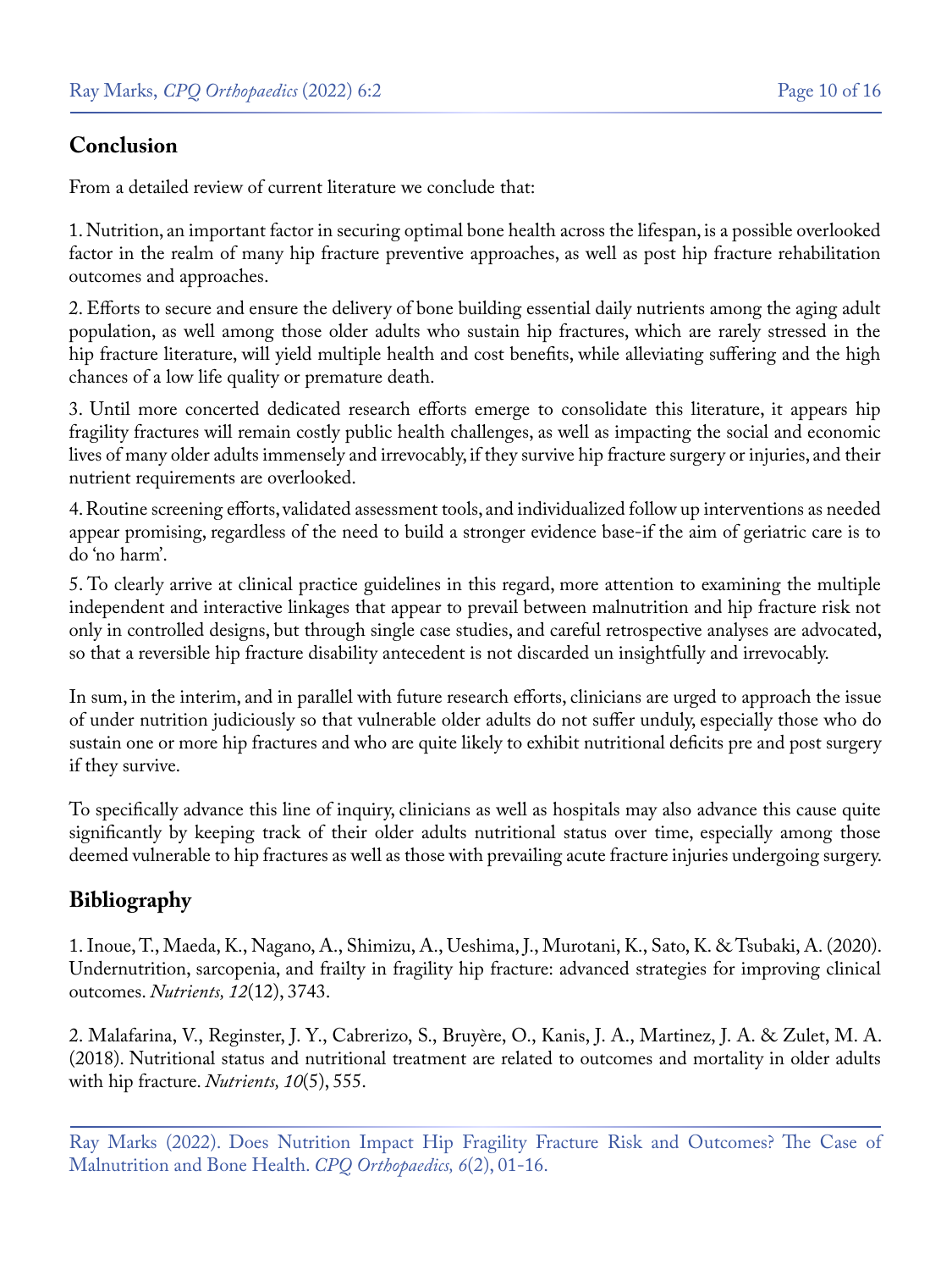## **Conclusion**

From a detailed review of current literature we conclude that:

1. Nutrition, an important factor in securing optimal bone health across the lifespan, is a possible overlooked factor in the realm of many hip fracture preventive approaches, as well as post hip fracture rehabilitation outcomes and approaches.

2. Efforts to secure and ensure the delivery of bone building essential daily nutrients among the aging adult population, as well among those older adults who sustain hip fractures, which are rarely stressed in the hip fracture literature, will yield multiple health and cost benefits, while alleviating suffering and the high chances of a low life quality or premature death.

3. Until more concerted dedicated research efforts emerge to consolidate this literature, it appears hip fragility fractures will remain costly public health challenges, as well as impacting the social and economic lives of many older adults immensely and irrevocably, if they survive hip fracture surgery or injuries, and their nutrient requirements are overlooked.

4. Routine screening efforts, validated assessment tools, and individualized follow up interventions as needed appear promising, regardless of the need to build a stronger evidence base-if the aim of geriatric care is to do 'no harm'.

5. To clearly arrive at clinical practice guidelines in this regard, more attention to examining the multiple independent and interactive linkages that appear to prevail between malnutrition and hip fracture risk not only in controlled designs, but through single case studies, and careful retrospective analyses are advocated, so that a reversible hip fracture disability antecedent is not discarded un insightfully and irrevocably.

In sum, in the interim, and in parallel with future research efforts, clinicians are urged to approach the issue of under nutrition judiciously so that vulnerable older adults do not suffer unduly, especially those who do sustain one or more hip fractures and who are quite likely to exhibit nutritional deficits pre and post surgery if they survive.

To specifically advance this line of inquiry, clinicians as well as hospitals may also advance this cause quite significantly by keeping track of their older adults nutritional status over time, especially among those deemed vulnerable to hip fractures as well as those with prevailing acute fracture injuries undergoing surgery.

## **Bibliography**

1. [Inoue, T., Maeda, K., Nagano, A., Shimizu, A., Ueshima, J., Murotani, K., Sato, K. & Tsubaki, A. \(2020\).](https://pubmed.ncbi.nlm.nih.gov/33291800/) [Undernutrition, sarcopenia, and frailty in fragility hip fracture: advanced strategies for improving clinical](https://pubmed.ncbi.nlm.nih.gov/33291800/) outcomes. *[Nutrients, 12](https://pubmed.ncbi.nlm.nih.gov/33291800/)*(12), 3743.

2. [Malafarina, V., Reginster, J. Y., Cabrerizo, S., Bruyère, O., Kanis, J. A., Martinez, J. A. & Zulet, M. A.](https://pubmed.ncbi.nlm.nih.gov/29710860/) [\(2018\). Nutritional status and nutritional treatment are related to outcomes and mortality in older adults](https://pubmed.ncbi.nlm.nih.gov/29710860/) [with hip fracture.](https://pubmed.ncbi.nlm.nih.gov/29710860/) *Nutrients, 10*(5), 555.

Ray Marks (2022). Does Nutrition Impact Hip Fragility Fracture Risk and Outcomes? The Case of Malnutrition and Bone Health. *CPQ Orthopaedics, 6*(2), 01-16.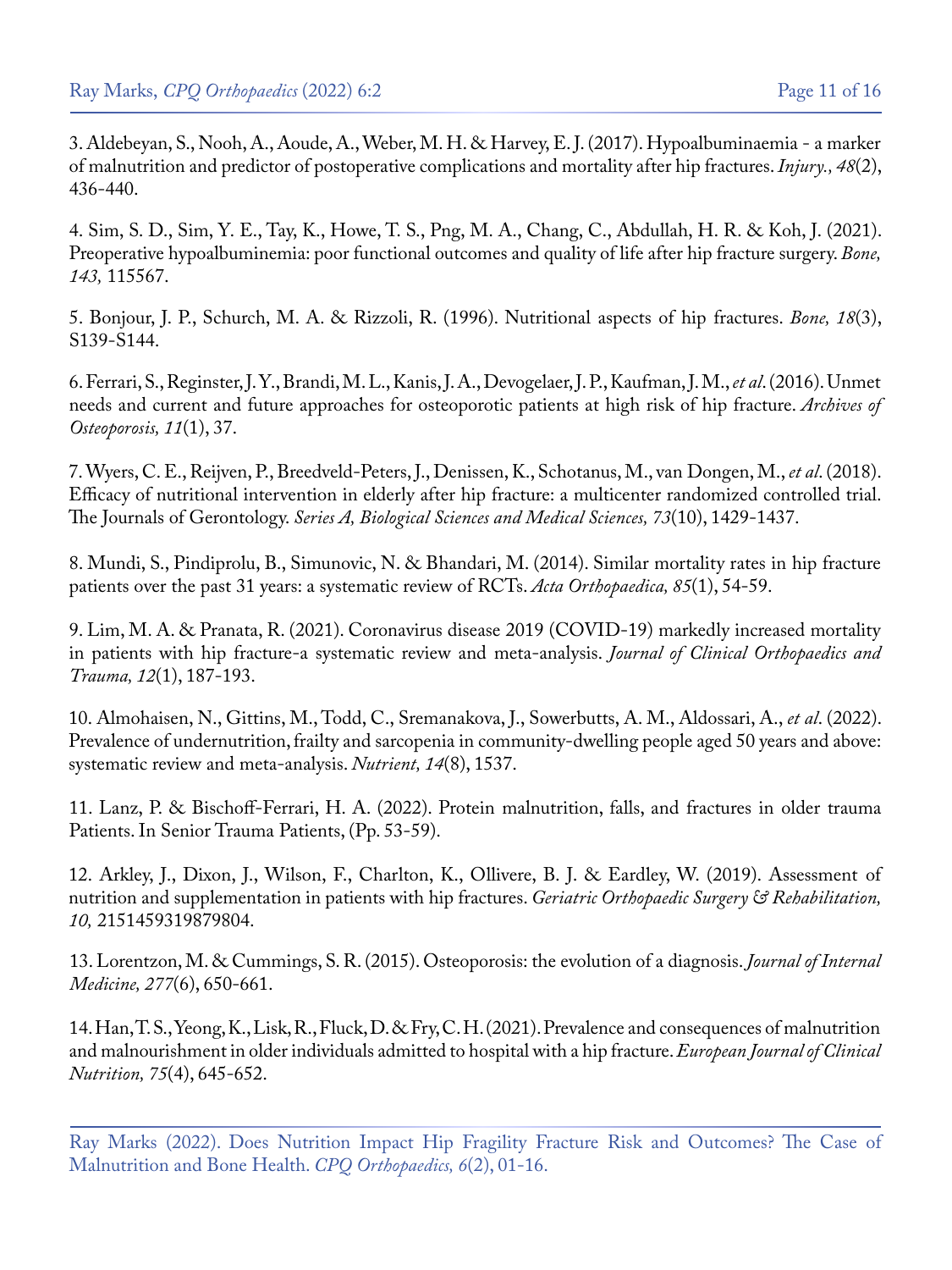3. [Aldebeyan, S., Nooh, A., Aoude, A., Weber, M. H. & Harvey, E. J. \(2017\). Hypoalbuminaemia - a marker](https://pubmed.ncbi.nlm.nih.gov/28040258/) [of malnutrition and predictor of postoperative complications and mortality after hip fractures.](https://pubmed.ncbi.nlm.nih.gov/28040258/) *Injury., 48*(2), [436-440.](https://pubmed.ncbi.nlm.nih.gov/28040258/)

4. [Sim, S. D., Sim, Y. E., Tay, K., Howe, T. S., Png, M. A., Chang, C., Abdullah, H. R. & Koh, J. \(2021\).](https://pubmed.ncbi.nlm.nih.gov/32745690/) [Preoperative hypoalbuminemia: poor functional outcomes and quality of life after hip fracture surgery.](https://pubmed.ncbi.nlm.nih.gov/32745690/) *Bone, 143,* [115567.](https://pubmed.ncbi.nlm.nih.gov/32745690/)

5. [Bonjour, J. P., Schurch, M. A. & Rizzoli, R. \(1996\). Nutritional aspects of hip fractures.](https://www.sciencedirect.com/science/article/abs/pii/8756328295004947) *Bone, 18*(3), [S139-S144.](https://www.sciencedirect.com/science/article/abs/pii/8756328295004947)

6. [Ferrari, S., Reginster, J. Y., Brandi, M. L., Kanis, J. A., Devogelaer, J. P., Kaufman, J. M.,](https://pubmed.ncbi.nlm.nih.gov/27800591/) *et al*. (2016). Unmet [needs and current and future approaches for osteoporotic patients at high risk of hip fracture.](https://pubmed.ncbi.nlm.nih.gov/27800591/) *Archives of [Osteoporosis, 11](https://pubmed.ncbi.nlm.nih.gov/27800591/)*(1), 37.

7. [Wyers, C. E., Reijven, P., Breedveld-Peters, J., Denissen, K., Schotanus, M., van Dongen, M.,](https://pubmed.ncbi.nlm.nih.gov/30204859/) *et al*. (2018). [Efficacy of nutritional intervention in elderly after hip fracture: a multicenter randomized controlled trial.](https://pubmed.ncbi.nlm.nih.gov/30204859/)  The Journals of Gerontology. *[Series A, Biological Sciences and Medical Sciences, 73](https://pubmed.ncbi.nlm.nih.gov/30204859/)*(10), 1429-1437.

8. [Mundi, S., Pindiprolu, B., Simunovic, N. & Bhandari, M. \(2014\). Similar mortality rates in hip fracture](https://pubmed.ncbi.nlm.nih.gov/24397744/) [patients over the past 31 years: a systematic review of RCTs.](https://pubmed.ncbi.nlm.nih.gov/24397744/) *Acta Orthopaedica, 85*(1), 54-59.

9. [Lim, M. A. & Pranata, R. \(2021\). Coronavirus disease 2019 \(COVID-19\) markedly increased mortality](https://www.ncbi.nlm.nih.gov/pmc/articles/PMC7495188/) [in patients with hip fracture-a systematic review and meta-analysis.](https://www.ncbi.nlm.nih.gov/pmc/articles/PMC7495188/) *Journal of Clinical Orthopaedics and Trauma, 12*[\(1\), 187-193.](https://www.ncbi.nlm.nih.gov/pmc/articles/PMC7495188/)

10. [Almohaisen, N., Gittins, M., Todd, C., Sremanakova, J., Sowerbutts, A. M., Aldossari, A.,](https://www.ncbi.nlm.nih.gov/pmc/articles/PMC9032775/) *et al*. (2022). [Prevalence of undernutrition, frailty and sarcopenia in community-dwelling people aged 50 years and above:](https://www.ncbi.nlm.nih.gov/pmc/articles/PMC9032775/) [systematic review and meta-analysis.](https://www.ncbi.nlm.nih.gov/pmc/articles/PMC9032775/) *Nutrient, 14*(8), 1537.

11. Lanz, P. & Bischoff-Ferrari, H. A. (2022). Protein malnutrition, falls, and fractures in older trauma Patients. In Senior Trauma Patients, (Pp. 53-59).

12. [Arkley, J., Dixon, J., Wilson, F., Charlton, K., Ollivere, B. J. & Eardley, W. \(2019\). Assessment of](https://pubmed.ncbi.nlm.nih.gov/31667002/) [nutrition and supplementation in patients with hip fractures.](https://pubmed.ncbi.nlm.nih.gov/31667002/) *Geriatric Orthopaedic Surgery & Rehabilitation, 10,* [2151459319879804.](https://pubmed.ncbi.nlm.nih.gov/31667002/)

13. [Lorentzon, M. & Cummings, S. R. \(2015\). Osteoporosis: the evolution of a diagnosis.](https://pubmed.ncbi.nlm.nih.gov/25832448/) *Journal of Internal [Medicine, 277](https://pubmed.ncbi.nlm.nih.gov/25832448/)*(6), 650-661.

14. [Han, T. S., Yeong, K., Lisk, R., Fluck, D. & Fry, C. H. \(2021\). Prevalence and consequences of malnutrition](https://pubmed.ncbi.nlm.nih.gov/33028971/)  [and malnourishment in older individuals admitted to hospital with a hip fracture.](https://pubmed.ncbi.nlm.nih.gov/33028971/) *European Journal of Clinical Nutrition, 75*[\(4\), 645-652.](https://pubmed.ncbi.nlm.nih.gov/33028971/)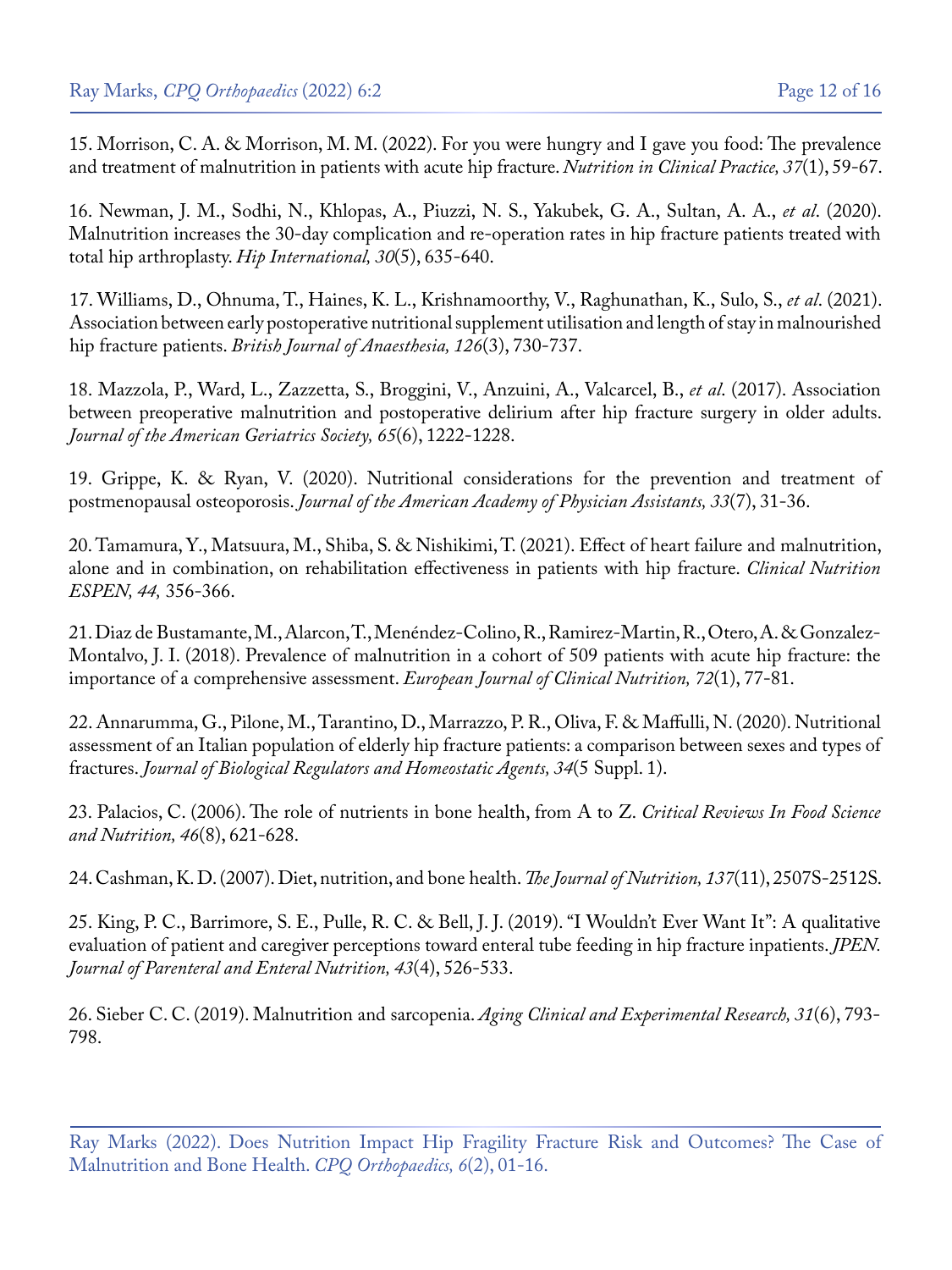15. [Morrison, C. A. & Morrison, M. M. \(2022\). For you were hungry and I gave you food: The prevalence](https://pubmed.ncbi.nlm.nih.gov/34897820/) [and treatment of malnutrition in patients with acute hip fracture.](https://pubmed.ncbi.nlm.nih.gov/34897820/) *Nutrition in Clinical Practice, 37*(1), 59-67.

16. [Newman, J. M., Sodhi, N., Khlopas, A., Piuzzi, N. S., Yakubek, G. A., Sultan, A. A.,](https://pubmed.ncbi.nlm.nih.gov/31304789/) *et al*. (2020). [Malnutrition increases the 30-day complication and re-operation rates in hip fracture patients treated with](https://pubmed.ncbi.nlm.nih.gov/31304789/) [total hip arthroplasty.](https://pubmed.ncbi.nlm.nih.gov/31304789/) *Hip International, 30*(5), 635-640.

17. [Williams, D., Ohnuma, T., Haines, K. L., Krishnamoorthy, V., Raghunathan, K., Sulo, S.,](https://pubmed.ncbi.nlm.nih.gov/33516455/) *et al*. (2021). [Association between early postoperative nutritional supplement utilisation and length of stay in malnourished](https://pubmed.ncbi.nlm.nih.gov/33516455/) hip fracture patients. *[British Journal of Anaesthesia, 126](https://pubmed.ncbi.nlm.nih.gov/33516455/)*(3), 730-737.

18. [Mazzola, P., Ward, L., Zazzetta, S., Broggini, V., Anzuini, A., Valcarcel, B.,](https://pubmed.ncbi.nlm.nih.gov/28263371/) *et al*. (2017). Association [between preoperative malnutrition and postoperative delirium after hip fracture surgery in older adults.](https://pubmed.ncbi.nlm.nih.gov/28263371/) *[Journal of the American Geriatrics Society, 65](https://pubmed.ncbi.nlm.nih.gov/28263371/)*(6), 1222-1228.

19. [Grippe, K. & Ryan, V. \(2020\). Nutritional considerations for the prevention and treatment of](https://pubmed.ncbi.nlm.nih.gov/32590531/)  postmenopausal osteoporosis. *[Journal of the American Academy of Physician Assistants, 33](https://pubmed.ncbi.nlm.nih.gov/32590531/)*(7), 31-36.

20. [Tamamura, Y., Matsuura, M., Shiba, S. & Nishikimi, T. \(2021\). Effect of heart failure and malnutrition,](https://pubmed.ncbi.nlm.nih.gov/34330490/)  [alone and in combination, on rehabilitation effectiveness in patients with hip fracture.](https://pubmed.ncbi.nlm.nih.gov/34330490/) *Clinical Nutrition [ESPEN, 44,](https://pubmed.ncbi.nlm.nih.gov/34330490/)* 356-366.

21. [Diaz de Bustamante, M., Alarcon, T., Menéndez-Colino, R., Ramirez-Martin, R., Otero, A. & Gonzalez-](https://pubmed.ncbi.nlm.nih.gov/28513623/)[Montalvo, J. I. \(2018\). Prevalence of malnutrition in a cohort of 509 patients with acute hip fracture: the](https://pubmed.ncbi.nlm.nih.gov/28513623/) [importance of a comprehensive assessment.](https://pubmed.ncbi.nlm.nih.gov/28513623/) *European Journal of Clinical Nutrition, 72*(1), 77-81.

22. Annarumma, G., Pilone, M., Tarantino, D., Marrazzo, P. R., Oliva, F. & Maffulli, N. (2020). Nutritional assessment of an Italian population of elderly hip fracture patients: a comparison between sexes and types of fractures. *Journal of Biological Regulators and Homeostatic Agents, 34*(5 Suppl. 1).

23. [Palacios, C. \(2006\). The role of nutrients in bone health, from A to Z.](https://pubmed.ncbi.nlm.nih.gov/17092827/) *Critical Reviews In Food Science [and Nutrition, 46](https://pubmed.ncbi.nlm.nih.gov/17092827/)*(8), 621-628.

24. [Cashman, K. D. \(2007\). Diet, nutrition, and bone health.](https://pubmed.ncbi.nlm.nih.gov/17951494/) *The Journal of Nutrition, 137*(11), 2507S-2512S.

25. [King, P. C., Barrimore, S. E., Pulle, R. C. & Bell, J. J. \(2019\). "I Wouldn't Ever Want It": A qualitative](https://pubmed.ncbi.nlm.nih.gov/30199088/) [evaluation of patient and caregiver perceptions toward enteral tube feeding in hip fracture inpatients.](https://pubmed.ncbi.nlm.nih.gov/30199088/) *JPEN. [Journal of Parenteral and Enteral Nutrition, 43](https://pubmed.ncbi.nlm.nih.gov/30199088/)*(4), 526-533.

26. [Sieber C. C. \(2019\). Malnutrition and sarcopenia.](https://pubmed.ncbi.nlm.nih.gov/31148100/) *Aging Clinical and Experimental Research, 31*(6), 793- [798.](https://pubmed.ncbi.nlm.nih.gov/31148100/)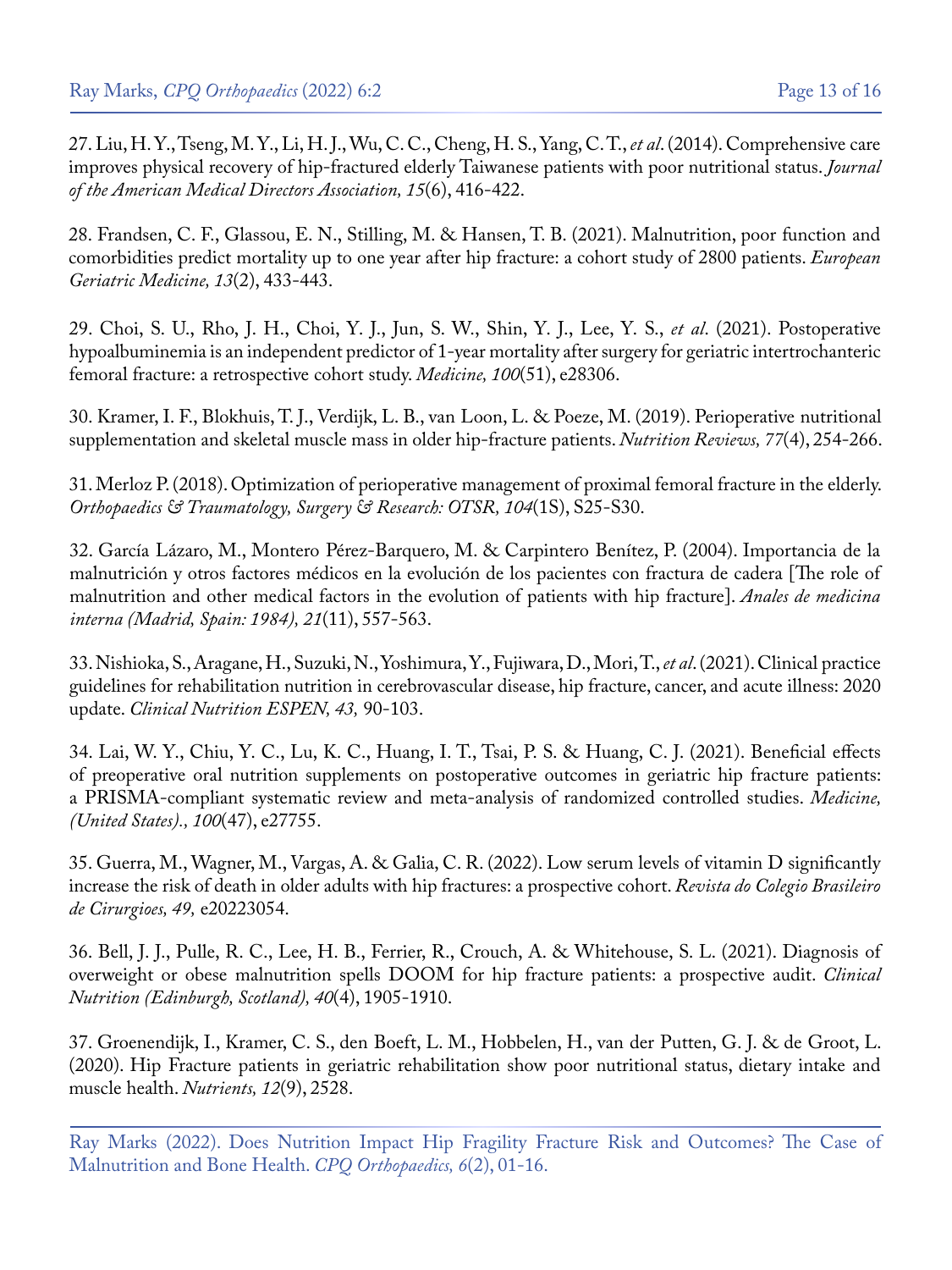27. [Liu, H. Y., Tseng, M. Y., Li, H. J., Wu, C. C., Cheng, H. S., Yang, C. T.,](https://pubmed.ncbi.nlm.nih.gov/24613271/) *et al*. (2014). Comprehensive care [improves physical recovery of hip-fractured elderly Taiwanese patients with poor nutritional status.](https://pubmed.ncbi.nlm.nih.gov/24613271/) *Journal [of the American Medical Directors Association, 15](https://pubmed.ncbi.nlm.nih.gov/24613271/)*(6), 416-422.

28. [Frandsen, C. F., Glassou, E. N., Stilling, M. & Hansen, T. B. \(2021\). Malnutrition, poor function and](https://pubmed.ncbi.nlm.nih.gov/34854063/)  [comorbidities predict mortality up to one year after hip fracture: a cohort study of 2800 patients.](https://pubmed.ncbi.nlm.nih.gov/34854063/) *European [Geriatric Medicine, 13](https://pubmed.ncbi.nlm.nih.gov/34854063/)*(2), 433-443.

29. [Choi, S. U., Rho, J. H., Choi, Y. J., Jun, S. W., Shin, Y. J., Lee, Y. S.,](https://pubmed.ncbi.nlm.nih.gov/34941120/) *et al*. (2021). Postoperative [hypoalbuminemia is an independent predictor of 1-year mortality after surgery for geriatric intertrochanteric](https://pubmed.ncbi.nlm.nih.gov/34941120/) [femoral fracture: a retrospective cohort study.](https://pubmed.ncbi.nlm.nih.gov/34941120/) *Medicine, 100*(51), e28306.

30. [Kramer, I. F., Blokhuis, T. J., Verdijk, L. B., van Loon, L. & Poeze, M. \(2019\). Perioperative nutritional](https://pubmed.ncbi.nlm.nih.gov/30624706/) [supplementation and skeletal muscle mass in older hip-fracture patients.](https://pubmed.ncbi.nlm.nih.gov/30624706/) *Nutrition Reviews, 77*(4), 254-266.

31. [Merloz P. \(2018\). Optimization of perioperative management of proximal femoral fracture in the elderly.](https://pubmed.ncbi.nlm.nih.gov/29203430/) *[Orthopaedics & Traumatology, Surgery & Research: OTSR, 104](https://pubmed.ncbi.nlm.nih.gov/29203430/)*(1S), S25-S30.

32. [García Lázaro, M., Montero Pérez-Barquero, M. & Carpintero Benítez, P. \(2004\). Importancia de la](https://scielo.isciii.es/scielo.php?script=sci_arttext&pid=S0212-71992004001100009)  [malnutrición y otros factores médicos en la evolución de los pacientes con fractura de cadera \[The role of](https://scielo.isciii.es/scielo.php?script=sci_arttext&pid=S0212-71992004001100009)  [malnutrition and other medical factors in the evolution of patients with hip fracture\].](https://scielo.isciii.es/scielo.php?script=sci_arttext&pid=S0212-71992004001100009) *Anales de medicina [interna \(Madrid, Spain: 1984\), 21](https://scielo.isciii.es/scielo.php?script=sci_arttext&pid=S0212-71992004001100009)*(11), 557-563.

33. [Nishioka, S., Aragane, H., Suzuki, N., Yoshimura, Y., Fujiwara, D., Mori, T.,](https://pubmed.ncbi.nlm.nih.gov/34024570/) *et al*. (2021). Clinical practice [guidelines for rehabilitation nutrition in cerebrovascular disease, hip fracture, cancer, and acute illness: 2020](https://pubmed.ncbi.nlm.nih.gov/34024570/) update. *[Clinical Nutrition ESPEN, 43,](https://pubmed.ncbi.nlm.nih.gov/34024570/)* 90-103.

34. [Lai, W. Y., Chiu, Y. C., Lu, K. C., Huang, I. T., Tsai, P. S. & Huang, C. J. \(2021\). Beneficial effects](https://pubmed.ncbi.nlm.nih.gov/34964732/) [of preoperative oral nutrition supplements on postoperative outcomes in geriatric hip fracture patients:](https://pubmed.ncbi.nlm.nih.gov/34964732/) [a PRISMA-compliant systematic review and meta-analysis of randomized controlled studies.](https://pubmed.ncbi.nlm.nih.gov/34964732/) *Medicine, [\(United States\)., 100](https://pubmed.ncbi.nlm.nih.gov/34964732/)*(47), e27755.

35. [Guerra, M., Wagner, M., Vargas, A. & Galia, C. R. \(2022\). Low serum levels of vitamin D significantly](https://www.scielo.br/j/rcbc/a/S7nCpRjGZPFpwYKshzwpDDC/?lang=en)  [increase the risk of death in older adults with hip fractures: a prospective cohort.](https://www.scielo.br/j/rcbc/a/S7nCpRjGZPFpwYKshzwpDDC/?lang=en) *Revista do Colegio Brasileiro [de Cirurgioes, 49,](https://www.scielo.br/j/rcbc/a/S7nCpRjGZPFpwYKshzwpDDC/?lang=en)* e20223054.

36. [Bell, J. J., Pulle, R. C., Lee, H. B., Ferrier, R., Crouch, A. & Whitehouse, S. L. \(2021\). Diagnosis of](https://pubmed.ncbi.nlm.nih.gov/32994070/)  [overweight or obese malnutrition spells DOOM for hip fracture patients: a prospective audit.](https://pubmed.ncbi.nlm.nih.gov/32994070/) *Clinical [Nutrition \(Edinburgh, Scotland\), 40](https://pubmed.ncbi.nlm.nih.gov/32994070/)*(4), 1905-1910.

37. [Groenendijk, I., Kramer, C. S., den Boeft, L. M., Hobbelen, H., van der Putten, G. J. & de Groot, L.](https://www.ncbi.nlm.nih.gov/pmc/articles/PMC7551784/)  [\(2020\). Hip Fracture patients in geriatric rehabilitation show poor nutritional status, dietary intake and](https://www.ncbi.nlm.nih.gov/pmc/articles/PMC7551784/) [muscle health.](https://www.ncbi.nlm.nih.gov/pmc/articles/PMC7551784/) *Nutrients, 12*(9), 2528.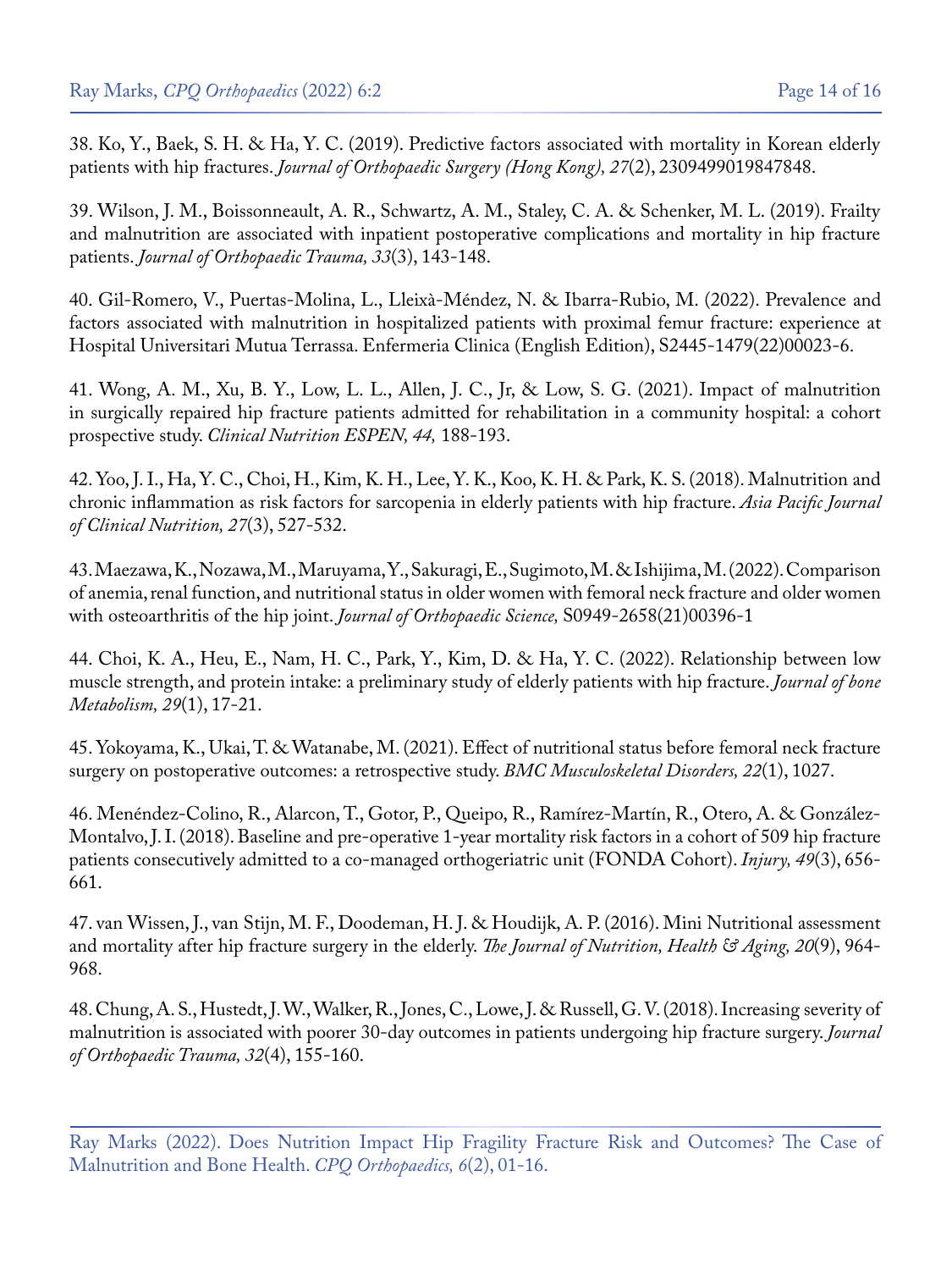38. [Ko, Y., Baek, S. H. & Ha, Y. C. \(2019\). Predictive factors associated with mortality in Korean elderly](https://pubmed.ncbi.nlm.nih.gov/31154958/)  patients with hip fractures. *[Journal of Orthopaedic Surgery \(Hong Kong\), 27](https://pubmed.ncbi.nlm.nih.gov/31154958/)*(2), 2309499019847848.

39. [Wilson, J. M., Boissonneault, A. R., Schwartz, A. M., Staley, C. A. & Schenker, M. L. \(2019\). Frailty](https://pubmed.ncbi.nlm.nih.gov/30570618/)  [and malnutrition are associated with inpatient postoperative complications and mortality in hip fracture](https://pubmed.ncbi.nlm.nih.gov/30570618/)  patients. *[Journal of Orthopaedic Trauma, 33](https://pubmed.ncbi.nlm.nih.gov/30570618/)*(3), 143-148.

40. Gil-Romero, V., Puertas-Molina, L., Lleixà-Méndez, N. & Ibarra-Rubio, M. (2022). Prevalence and factors associated with malnutrition in hospitalized patients with proximal femur fracture: experience at Hospital Universitari Mutua Terrassa. Enfermeria Clinica (English Edition), S2445-1479(22)00023-6.

41. [Wong, A. M., Xu, B. Y., Low, L. L., Allen, J. C., Jr, & Low, S. G. \(2021\). Impact of malnutrition](https://pubmed.ncbi.nlm.nih.gov/34330464/) [in surgically repaired hip fracture patients admitted for rehabilitation in a community hospital: a cohort](https://pubmed.ncbi.nlm.nih.gov/34330464/) prospective study. *[Clinical Nutrition ESPEN, 44,](https://pubmed.ncbi.nlm.nih.gov/34330464/)* 188-193.

42. [Yoo, J. I., Ha, Y. C., Choi, H., Kim, K. H., Lee, Y. K., Koo, K. H. & Park, K. S. \(2018\). Malnutrition and](https://pubmed.ncbi.nlm.nih.gov/29737798/) [chronic inflammation as risk factors for sarcopenia in elderly patients with hip fracture.](https://pubmed.ncbi.nlm.nih.gov/29737798/) *Asia Pacific Journal [of Clinical Nutrition, 27](https://pubmed.ncbi.nlm.nih.gov/29737798/)*(3), 527-532.

43. [Maezawa, K., Nozawa, M., Maruyama, Y., Sakuragi, E., Sugimoto, M. & Ishijima, M. \(2022\). Comparison](https://pubmed.ncbi.nlm.nih.gov/35000815/) [of anemia, renal function, and nutritional status in older women with femoral neck fracture and older women](https://pubmed.ncbi.nlm.nih.gov/35000815/) [with osteoarthritis of the hip joint.](https://pubmed.ncbi.nlm.nih.gov/35000815/) *Journal of Orthopaedic Science,* S0949-2658(21)00396-1

44. [Choi, K. A., Heu, E., Nam, H. C., Park, Y., Kim, D. & Ha, Y. C. \(2022\). Relationship between low](https://pubmed.ncbi.nlm.nih.gov/35325979/) [muscle strength, and protein intake: a preliminary study of elderly patients with hip fracture.](https://pubmed.ncbi.nlm.nih.gov/35325979/) *Journal of bone [Metabolism, 29](https://pubmed.ncbi.nlm.nih.gov/35325979/)*(1), 17-21.

45. [Yokoyama, K., Ukai, T. & Watanabe, M. \(2021\). Effect of nutritional status before femoral neck fracture](https://pubmed.ncbi.nlm.nih.gov/34879851/) [surgery on postoperative outcomes: a retrospective study.](https://pubmed.ncbi.nlm.nih.gov/34879851/) *BMC Musculoskeletal Disorders, 22*(1), 1027.

46. [Menéndez-Colino, R., Alarcon, T., Gotor, P., Queipo, R., Ramírez-Martín, R., Otero, A. & González-](https://pubmed.ncbi.nlm.nih.gov/29329713/)[Montalvo, J. I. \(2018\). Baseline and pre-operative 1-year mortality risk factors in a cohort of 509 hip fracture](https://pubmed.ncbi.nlm.nih.gov/29329713/) [patients consecutively admitted to a co-managed orthogeriatric unit \(FONDA Cohort\).](https://pubmed.ncbi.nlm.nih.gov/29329713/) *Injury, 49*(3), 656- [661.](https://pubmed.ncbi.nlm.nih.gov/29329713/)

47. [van Wissen, J., van Stijn, M. F., Doodeman, H. J. & Houdijk, A. P. \(2016\). Mini Nutritional assessment](https://pubmed.ncbi.nlm.nih.gov/27791228/) [and mortality after hip fracture surgery in the elderly.](https://pubmed.ncbi.nlm.nih.gov/27791228/) *The Journal of Nutrition, Health & Aging, 20*(9), 964- [968.](https://pubmed.ncbi.nlm.nih.gov/27791228/)

48. [Chung, A. S., Hustedt, J. W., Walker, R., Jones, C., Lowe, J. & Russell, G. V. \(2018\). Increasing severity of](https://pubmed.ncbi.nlm.nih.gov/29558371/) [malnutrition is associated with poorer 30-day outcomes in patients undergoing hip fracture surgery.](https://pubmed.ncbi.nlm.nih.gov/29558371/) *Journal [of Orthopaedic Trauma, 32](https://pubmed.ncbi.nlm.nih.gov/29558371/)*(4), 155-160.

Ray Marks (2022). Does Nutrition Impact Hip Fragility Fracture Risk and Outcomes? The Case of Malnutrition and Bone Health. *CPQ Orthopaedics, 6*(2), 01-16.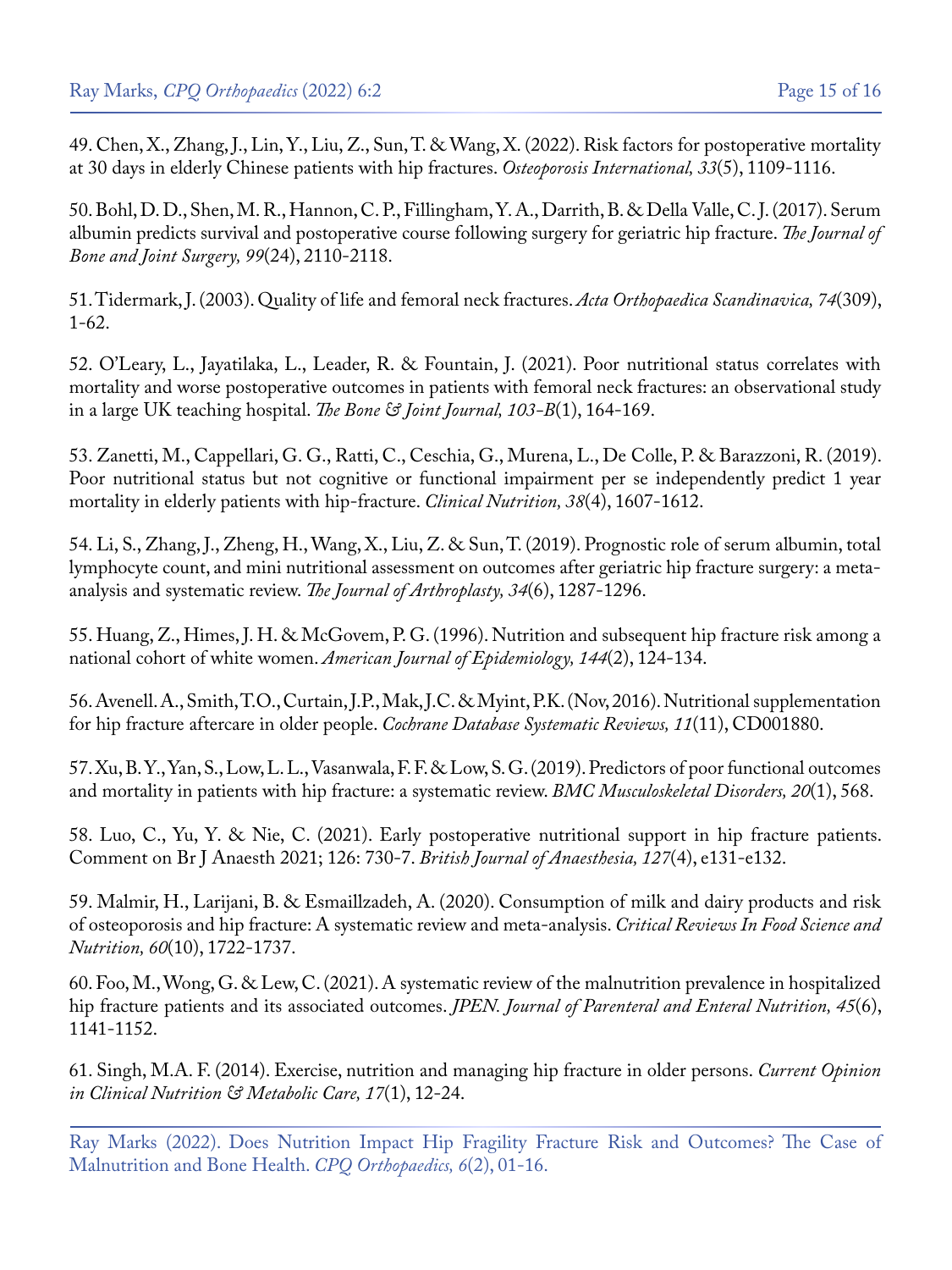49. [Chen, X., Zhang, J., Lin, Y., Liu, Z., Sun, T. & Wang, X. \(2022\). Risk factors for postoperative mortality](https://pubmed.ncbi.nlm.nih.gov/34993561/) [at 30 days in elderly Chinese patients with hip fractures.](https://pubmed.ncbi.nlm.nih.gov/34993561/) *Osteoporosis International, 33*(5), 1109-1116.

50. [Bohl, D. D., Shen, M. R., Hannon, C. P., Fillingham, Y. A., Darrith, B. & Della Valle, C. J. \(2017\). Serum](https://pubmed.ncbi.nlm.nih.gov/29257017/) [albumin predicts survival and postoperative course following surgery for geriatric hip fracture.](https://pubmed.ncbi.nlm.nih.gov/29257017/) *The Journal of [Bone and Joint Surgery, 99](https://pubmed.ncbi.nlm.nih.gov/29257017/)*(24), 2110-2118.

51. [Tidermark, J. \(2003\). Quality of life and femoral neck fractures.](https://pubmed.ncbi.nlm.nih.gov/12811943/) *Acta Orthopaedica Scandinavica, 74*(309), [1-62.](https://pubmed.ncbi.nlm.nih.gov/12811943/)

52. [O'Leary, L., Jayatilaka, L., Leader, R. & Fountain, J. \(2021\). Poor nutritional status correlates with](https://pubmed.ncbi.nlm.nih.gov/33380184/) [mortality and worse postoperative outcomes in patients with femoral neck fractures: an observational study](https://pubmed.ncbi.nlm.nih.gov/33380184/) [in a large UK teaching hospital.](https://pubmed.ncbi.nlm.nih.gov/33380184/) *The Bone & Joint Journal, 103-B*(1), 164-169.

53. [Zanetti, M., Cappellari, G. G., Ratti, C., Ceschia, G., Murena, L., De Colle, P. & Barazzoni, R. \(2019\).](https://pubmed.ncbi.nlm.nih.gov/30217470/) [Poor nutritional status but not cognitive or functional impairment per se independently predict 1 year](https://pubmed.ncbi.nlm.nih.gov/30217470/) [mortality in elderly patients with hip-fracture.](https://pubmed.ncbi.nlm.nih.gov/30217470/) *Clinical Nutrition, 38*(4), 1607-1612.

54. [Li, S., Zhang, J., Zheng, H., Wang, X., Liu, Z. & Sun, T. \(2019\). Prognostic role of serum albumin, total](https://pubmed.ncbi.nlm.nih.gov/30852065/) [lymphocyte count, and mini nutritional assessment on outcomes after geriatric hip fracture surgery: a meta](https://pubmed.ncbi.nlm.nih.gov/30852065/)[analysis and systematic review.](https://pubmed.ncbi.nlm.nih.gov/30852065/) *The Journal of Arthroplasty, 34*(6), 1287-1296.

55. Huang, Z., Himes, J. H. & McGovem, P. G. (1996). Nutrition and subsequent hip fracture risk among a national cohort of white women. *American Journal of Epidemiology, 144*(2), 124-134.

56. [Avenell. A., Smith, T.O., Curtain, J.P., Mak, J.C. & Myint, P.K. \(Nov, 2016\). Nutritional supplementation](https://pubmed.ncbi.nlm.nih.gov/27898998/) [for hip fracture aftercare in older people.](https://pubmed.ncbi.nlm.nih.gov/27898998/) *Cochrane Database Systematic Reviews, 11*(11), CD001880.

57. [Xu, B. Y., Yan, S., Low, L. L., Vasanwala, F. F. & Low, S. G. \(2019\). Predictors of poor functional outcomes](https://pubmed.ncbi.nlm.nih.gov/31775693/) [and mortality in patients with hip fracture: a systematic review.](https://pubmed.ncbi.nlm.nih.gov/31775693/) *BMC Musculoskeletal Disorders, 20*(1), 568.

58. [Luo, C., Yu, Y. & Nie, C. \(2021\). Early postoperative nutritional support in hip fracture patients.](https://pubmed.ncbi.nlm.nih.gov/34340837/) [Comment on Br J Anaesth 2021; 126: 730-7.](https://pubmed.ncbi.nlm.nih.gov/34340837/) *British Journal of Anaesthesia, 127*(4), e131-e132.

59. [Malmir, H., Larijani, B. & Esmaillzadeh, A. \(2020\). Consumption of milk and dairy products and risk](https://pubmed.ncbi.nlm.nih.gov/30909722/) [of osteoporosis and hip fracture: A systematic review and meta-analysis.](https://pubmed.ncbi.nlm.nih.gov/30909722/) *Critical Reviews In Food Science and Nutrition, 60*[\(10\), 1722-1737.](https://pubmed.ncbi.nlm.nih.gov/30909722/)

60. Foo, M., Wong, G. & Lew, C. (2021). A systematic review of the malnutrition prevalence in hospitalized hip fracture patients and its associated outcomes. *JPEN. Journal of Parenteral and Enteral Nutrition, 45*(6), 1141-1152.

61. [Singh, M.A. F. \(2014\). Exercise, nutrition and managing hip fracture in older persons.](https://pubmed.ncbi.nlm.nih.gov/24281377/) *Current Opinion [in Clinical Nutrition & Metabolic Care, 17](https://pubmed.ncbi.nlm.nih.gov/24281377/)*(1), 12-24.